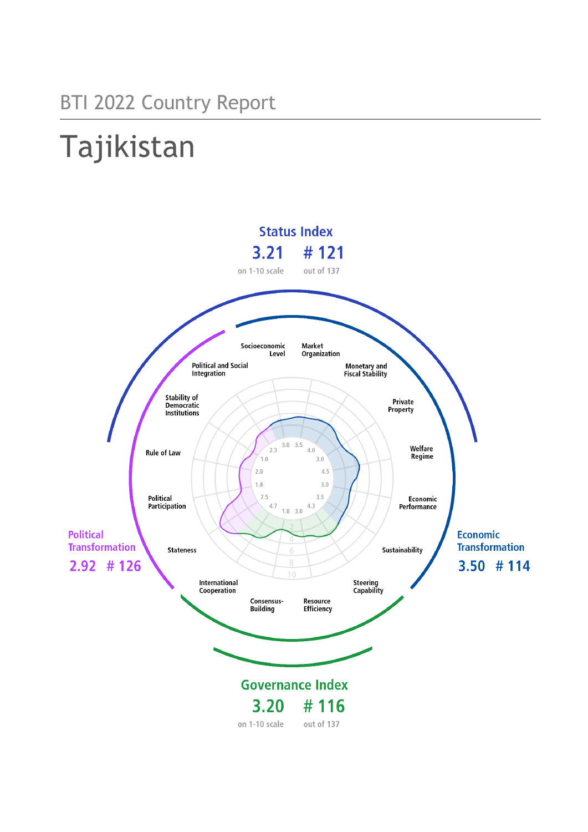# Tajikistan

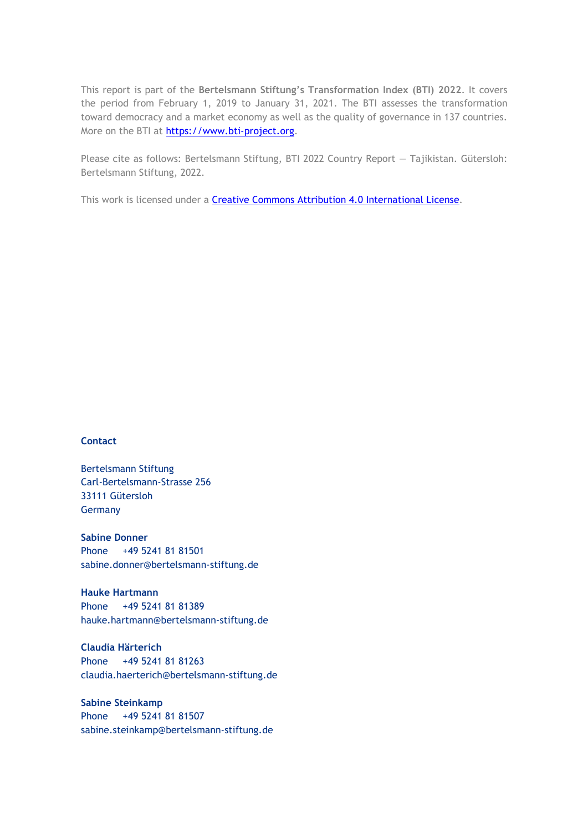This report is part of the **Bertelsmann Stiftung's Transformation Index (BTI) 2022**. It covers the period from February 1, 2019 to January 31, 2021. The BTI assesses the transformation toward democracy and a market economy as well as the quality of governance in 137 countries. More on the BTI at [https://www.bti-project.org.](https://www.bti-project.org/)

Please cite as follows: Bertelsmann Stiftung, BTI 2022 Country Report — Tajikistan. Gütersloh: Bertelsmann Stiftung, 2022.

This work is licensed under a **Creative Commons Attribution 4.0 International License**.

#### **Contact**

Bertelsmann Stiftung Carl-Bertelsmann-Strasse 256 33111 Gütersloh Germany

**Sabine Donner** Phone +49 5241 81 81501 sabine.donner@bertelsmann-stiftung.de

**Hauke Hartmann** Phone +49 5241 81 81389 hauke.hartmann@bertelsmann-stiftung.de

**Claudia Härterich** Phone +49 5241 81 81263 claudia.haerterich@bertelsmann-stiftung.de

#### **Sabine Steinkamp** Phone +49 5241 81 81507 sabine.steinkamp@bertelsmann-stiftung.de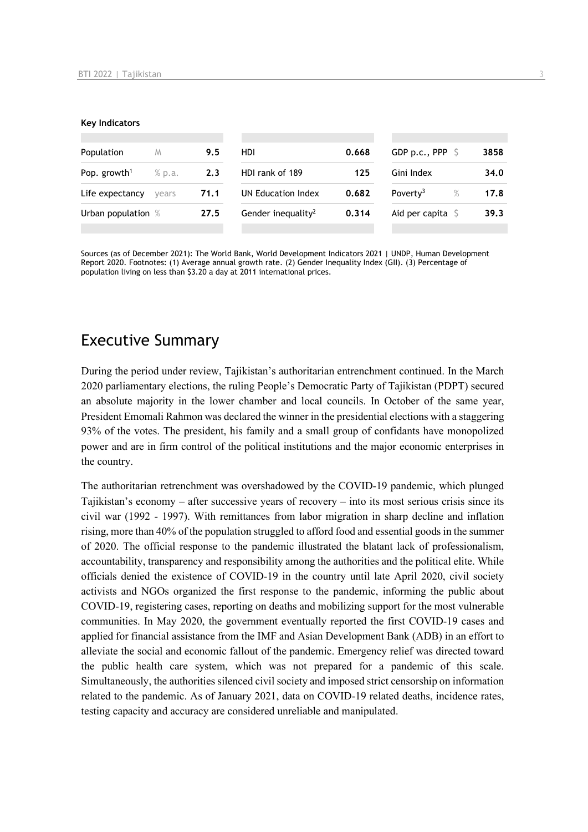#### **Key Indicators**

| Population               | M      | 9.5  | HDI                            | 0.668 | GDP p.c., PPP $\ S$          | 3858 |
|--------------------------|--------|------|--------------------------------|-------|------------------------------|------|
| Pop. growth <sup>1</sup> | % p.a. | 2.3  | HDI rank of 189                | 125   | Gini Index                   | 34.0 |
| Life expectancy          | vears  | 71.1 | UN Education Index             | 0.682 | Poverty <sup>3</sup><br>$\%$ | 17.8 |
| Urban population %       |        | 27.5 | Gender inequality <sup>2</sup> | 0.314 | Aid per capita $\mathsf S$   | 39.3 |
|                          |        |      |                                |       |                              |      |

Sources (as of December 2021): The World Bank, World Development Indicators 2021 | UNDP, Human Development Report 2020. Footnotes: (1) Average annual growth rate. (2) Gender Inequality Index (GII). (3) Percentage of population living on less than \$3.20 a day at 2011 international prices.

## Executive Summary

During the period under review, Tajikistan's authoritarian entrenchment continued. In the March 2020 parliamentary elections, the ruling People's Democratic Party of Tajikistan (PDPT) secured an absolute majority in the lower chamber and local councils. In October of the same year, President Emomali Rahmon was declared the winner in the presidential elections with a staggering 93% of the votes. The president, his family and a small group of confidants have monopolized power and are in firm control of the political institutions and the major economic enterprises in the country.

The authoritarian retrenchment was overshadowed by the COVID-19 pandemic, which plunged Tajikistan's economy – after successive years of recovery – into its most serious crisis since its civil war (1992 - 1997). With remittances from labor migration in sharp decline and inflation rising, more than 40% of the population struggled to afford food and essential goods in the summer of 2020. The official response to the pandemic illustrated the blatant lack of professionalism, accountability, transparency and responsibility among the authorities and the political elite. While officials denied the existence of COVID-19 in the country until late April 2020, civil society activists and NGOs organized the first response to the pandemic, informing the public about COVID-19, registering cases, reporting on deaths and mobilizing support for the most vulnerable communities. In May 2020, the government eventually reported the first COVID-19 cases and applied for financial assistance from the IMF and Asian Development Bank (ADB) in an effort to alleviate the social and economic fallout of the pandemic. Emergency relief was directed toward the public health care system, which was not prepared for a pandemic of this scale. Simultaneously, the authorities silenced civil society and imposed strict censorship on information related to the pandemic. As of January 2021, data on COVID-19 related deaths, incidence rates, testing capacity and accuracy are considered unreliable and manipulated.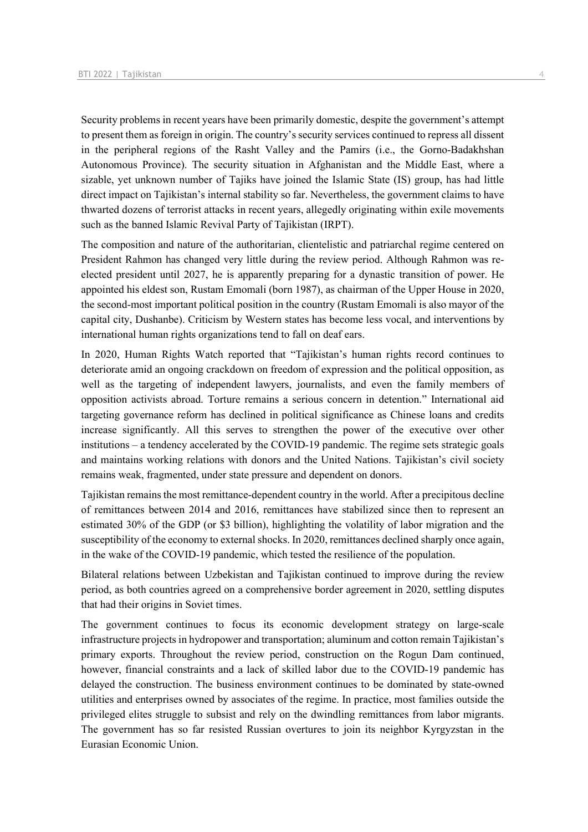Security problems in recent years have been primarily domestic, despite the government's attempt to present them as foreign in origin. The country's security services continued to repress all dissent in the peripheral regions of the Rasht Valley and the Pamirs (i.e., the Gorno-Badakhshan Autonomous Province). The security situation in Afghanistan and the Middle East, where a sizable, yet unknown number of Tajiks have joined the Islamic State (IS) group, has had little direct impact on Tajikistan's internal stability so far. Nevertheless, the government claims to have thwarted dozens of terrorist attacks in recent years, allegedly originating within exile movements such as the banned Islamic Revival Party of Tajikistan (IRPT).

The composition and nature of the authoritarian, clientelistic and patriarchal regime centered on President Rahmon has changed very little during the review period. Although Rahmon was reelected president until 2027, he is apparently preparing for a dynastic transition of power. He appointed his eldest son, Rustam Emomali (born 1987), as chairman of the Upper House in 2020, the second-most important political position in the country (Rustam Emomali is also mayor of the capital city, Dushanbe). Criticism by Western states has become less vocal, and interventions by international human rights organizations tend to fall on deaf ears.

In 2020, Human Rights Watch reported that "Tajikistan's human rights record continues to deteriorate amid an ongoing crackdown on freedom of expression and the political opposition, as well as the targeting of independent lawyers, journalists, and even the family members of opposition activists abroad. Torture remains a serious concern in detention." International aid targeting governance reform has declined in political significance as Chinese loans and credits increase significantly. All this serves to strengthen the power of the executive over other institutions – a tendency accelerated by the COVID-19 pandemic. The regime sets strategic goals and maintains working relations with donors and the United Nations. Tajikistan's civil society remains weak, fragmented, under state pressure and dependent on donors.

Tajikistan remains the most remittance-dependent country in the world. After a precipitous decline of remittances between 2014 and 2016, remittances have stabilized since then to represent an estimated 30% of the GDP (or \$3 billion), highlighting the volatility of labor migration and the susceptibility of the economy to external shocks. In 2020, remittances declined sharply once again, in the wake of the COVID-19 pandemic, which tested the resilience of the population.

Bilateral relations between Uzbekistan and Tajikistan continued to improve during the review period, as both countries agreed on a comprehensive border agreement in 2020, settling disputes that had their origins in Soviet times.

The government continues to focus its economic development strategy on large-scale infrastructure projects in hydropower and transportation; aluminum and cotton remain Tajikistan's primary exports. Throughout the review period, construction on the Rogun Dam continued, however, financial constraints and a lack of skilled labor due to the COVID-19 pandemic has delayed the construction. The business environment continues to be dominated by state-owned utilities and enterprises owned by associates of the regime. In practice, most families outside the privileged elites struggle to subsist and rely on the dwindling remittances from labor migrants. The government has so far resisted Russian overtures to join its neighbor Kyrgyzstan in the Eurasian Economic Union.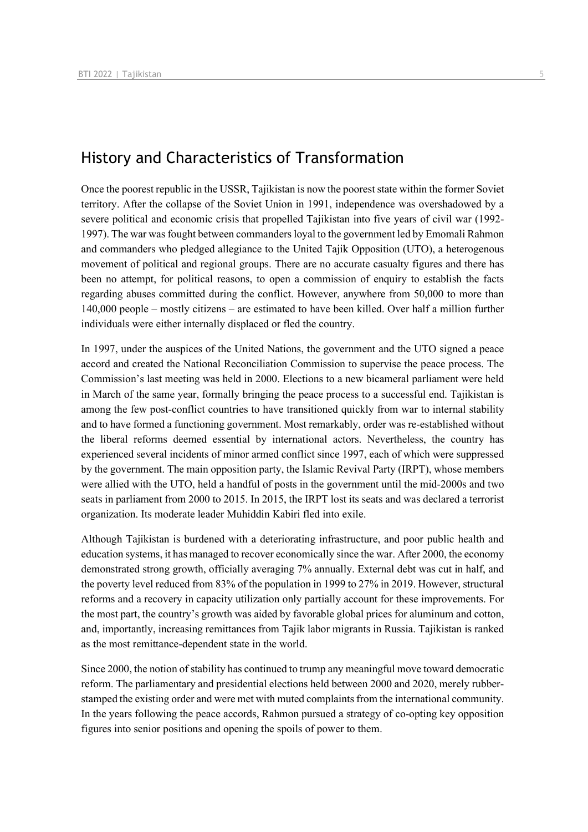## History and Characteristics of Transformation

Once the poorest republic in the USSR, Tajikistan is now the poorest state within the former Soviet territory. After the collapse of the Soviet Union in 1991, independence was overshadowed by a severe political and economic crisis that propelled Tajikistan into five years of civil war (1992- 1997). The war was fought between commanders loyal to the government led by Emomali Rahmon and commanders who pledged allegiance to the United Tajik Opposition (UTO), a heterogenous movement of political and regional groups. There are no accurate casualty figures and there has been no attempt, for political reasons, to open a commission of enquiry to establish the facts regarding abuses committed during the conflict. However, anywhere from 50,000 to more than 140,000 people – mostly citizens – are estimated to have been killed. Over half a million further individuals were either internally displaced or fled the country.

In 1997, under the auspices of the United Nations, the government and the UTO signed a peace accord and created the National Reconciliation Commission to supervise the peace process. The Commission's last meeting was held in 2000. Elections to a new bicameral parliament were held in March of the same year, formally bringing the peace process to a successful end. Tajikistan is among the few post-conflict countries to have transitioned quickly from war to internal stability and to have formed a functioning government. Most remarkably, order was re-established without the liberal reforms deemed essential by international actors. Nevertheless, the country has experienced several incidents of minor armed conflict since 1997, each of which were suppressed by the government. The main opposition party, the Islamic Revival Party (IRPT), whose members were allied with the UTO, held a handful of posts in the government until the mid-2000s and two seats in parliament from 2000 to 2015. In 2015, the IRPT lost its seats and was declared a terrorist organization. Its moderate leader Muhiddin Kabiri fled into exile.

Although Tajikistan is burdened with a deteriorating infrastructure, and poor public health and education systems, it has managed to recover economically since the war. After 2000, the economy demonstrated strong growth, officially averaging 7% annually. External debt was cut in half, and the poverty level reduced from 83% of the population in 1999 to 27% in 2019. However, structural reforms and a recovery in capacity utilization only partially account for these improvements. For the most part, the country's growth was aided by favorable global prices for aluminum and cotton, and, importantly, increasing remittances from Tajik labor migrants in Russia. Tajikistan is ranked as the most remittance-dependent state in the world.

Since 2000, the notion of stability has continued to trump any meaningful move toward democratic reform. The parliamentary and presidential elections held between 2000 and 2020, merely rubberstamped the existing order and were met with muted complaints from the international community. In the years following the peace accords, Rahmon pursued a strategy of co-opting key opposition figures into senior positions and opening the spoils of power to them.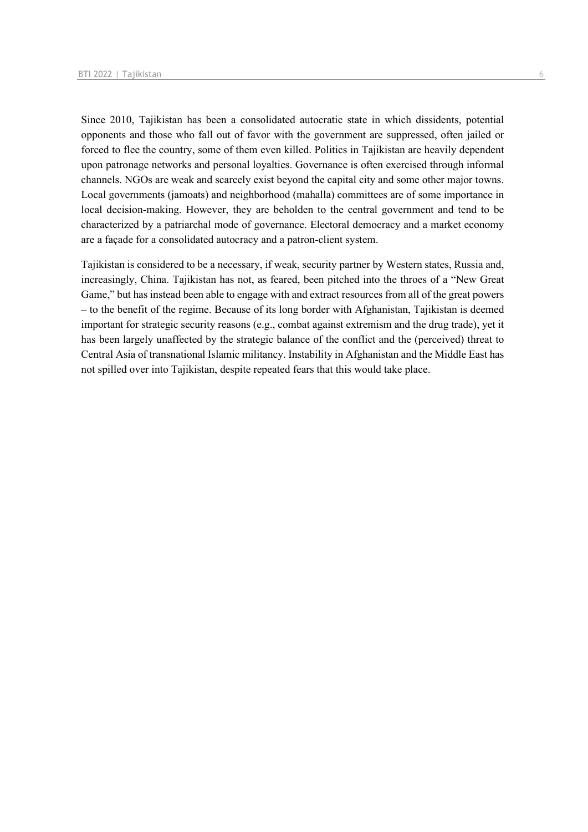Since 2010, Tajikistan has been a consolidated autocratic state in which dissidents, potential opponents and those who fall out of favor with the government are suppressed, often jailed or forced to flee the country, some of them even killed. Politics in Tajikistan are heavily dependent upon patronage networks and personal loyalties. Governance is often exercised through informal channels. NGOs are weak and scarcely exist beyond the capital city and some other major towns. Local governments (jamoats) and neighborhood (mahalla) committees are of some importance in local decision-making. However, they are beholden to the central government and tend to be characterized by a patriarchal mode of governance. Electoral democracy and a market economy are a façade for a consolidated autocracy and a patron-client system.

Tajikistan is considered to be a necessary, if weak, security partner by Western states, Russia and, increasingly, China. Tajikistan has not, as feared, been pitched into the throes of a "New Great Game," but has instead been able to engage with and extract resources from all of the great powers – to the benefit of the regime. Because of its long border with Afghanistan, Tajikistan is deemed important for strategic security reasons (e.g., combat against extremism and the drug trade), yet it has been largely unaffected by the strategic balance of the conflict and the (perceived) threat to Central Asia of transnational Islamic militancy. Instability in Afghanistan and the Middle East has not spilled over into Tajikistan, despite repeated fears that this would take place.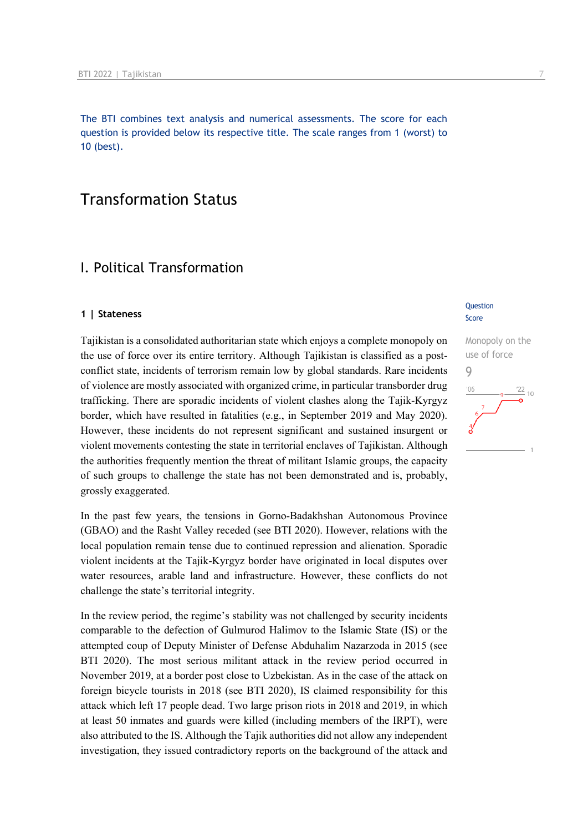The BTI combines text analysis and numerical assessments. The score for each question is provided below its respective title. The scale ranges from 1 (worst) to 10 (best).

## Transformation Status

## I. Political Transformation

#### **1 | Stateness**

Tajikistan is a consolidated authoritarian state which enjoys a complete monopoly on the use of force over its entire territory. Although Tajikistan is classified as a postconflict state, incidents of terrorism remain low by global standards. Rare incidents of violence are mostly associated with organized crime, in particular transborder drug trafficking. There are sporadic incidents of violent clashes along the Tajik-Kyrgyz border, which have resulted in fatalities (e.g., in September 2019 and May 2020). However, these incidents do not represent significant and sustained insurgent or violent movements contesting the state in territorial enclaves of Tajikistan. Although the authorities frequently mention the threat of militant Islamic groups, the capacity of such groups to challenge the state has not been demonstrated and is, probably, grossly exaggerated.

In the past few years, the tensions in Gorno-Badakhshan Autonomous Province (GBAO) and the Rasht Valley receded (see BTI 2020). However, relations with the local population remain tense due to continued repression and alienation. Sporadic violent incidents at the Tajik-Kyrgyz border have originated in local disputes over water resources, arable land and infrastructure. However, these conflicts do not challenge the state's territorial integrity.

In the review period, the regime's stability was not challenged by security incidents comparable to the defection of Gulmurod Halimov to the Islamic State (IS) or the attempted coup of Deputy Minister of Defense Abduhalim Nazarzoda in 2015 (see BTI 2020). The most serious militant attack in the review period occurred in November 2019, at a border post close to Uzbekistan. As in the case of the attack on foreign bicycle tourists in 2018 (see BTI 2020), IS claimed responsibility for this attack which left 17 people dead. Two large prison riots in 2018 and 2019, in which at least 50 inmates and guards were killed (including members of the IRPT), were also attributed to the IS. Although the Tajik authorities did not allow any independent investigation, they issued contradictory reports on the background of the attack and

#### **Question** Score

Monopoly on the use of force 9 $\frac{22}{10}$  $106$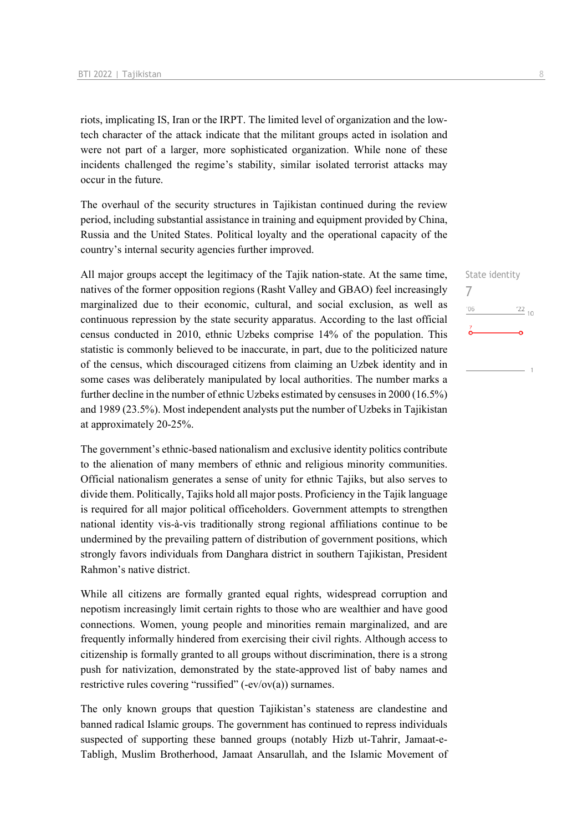riots, implicating IS, Iran or the IRPT. The limited level of organization and the lowtech character of the attack indicate that the militant groups acted in isolation and were not part of a larger, more sophisticated organization. While none of these incidents challenged the regime's stability, similar isolated terrorist attacks may occur in the future.

The overhaul of the security structures in Tajikistan continued during the review period, including substantial assistance in training and equipment provided by China, Russia and the United States. Political loyalty and the operational capacity of the country's internal security agencies further improved.

All major groups accept the legitimacy of the Tajik nation-state. At the same time, natives of the former opposition regions (Rasht Valley and GBAO) feel increasingly marginalized due to their economic, cultural, and social exclusion, as well as continuous repression by the state security apparatus. According to the last official census conducted in 2010, ethnic Uzbeks comprise 14% of the population. This statistic is commonly believed to be inaccurate, in part, due to the politicized nature of the census, which discouraged citizens from claiming an Uzbek identity and in some cases was deliberately manipulated by local authorities. The number marks a further decline in the number of ethnic Uzbeks estimated by censuses in 2000 (16.5%) and 1989 (23.5%). Most independent analysts put the number of Uzbeks in Tajikistan at approximately 20-25%.

The government's ethnic-based nationalism and exclusive identity politics contribute to the alienation of many members of ethnic and religious minority communities. Official nationalism generates a sense of unity for ethnic Tajiks, but also serves to divide them. Politically, Tajiks hold all major posts. Proficiency in the Tajik language is required for all major political officeholders. Government attempts to strengthen national identity vis-à-vis traditionally strong regional affiliations continue to be undermined by the prevailing pattern of distribution of government positions, which strongly favors individuals from Danghara district in southern Tajikistan, President Rahmon's native district.

While all citizens are formally granted equal rights, widespread corruption and nepotism increasingly limit certain rights to those who are wealthier and have good connections. Women, young people and minorities remain marginalized, and are frequently informally hindered from exercising their civil rights. Although access to citizenship is formally granted to all groups without discrimination, there is a strong push for nativization, demonstrated by the state-approved list of baby names and restrictive rules covering "russified"  $(-ev/ov(a))$  surnames.

The only known groups that question Tajikistan's stateness are clandestine and banned radical Islamic groups. The government has continued to repress individuals suspected of supporting these banned groups (notably Hizb ut-Tahrir, Jamaat-e-Tabligh, Muslim Brotherhood, Jamaat Ansarullah, and the Islamic Movement of State identity

 $\frac{1}{22}$  10

7

 $^{\prime}06$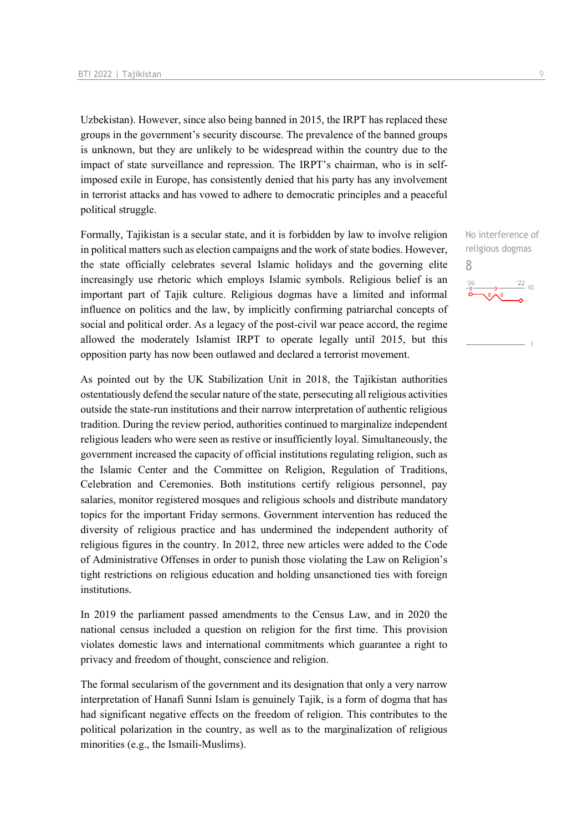Uzbekistan). However, since also being banned in 2015, the IRPT has replaced these groups in the government's security discourse. The prevalence of the banned groups is unknown, but they are unlikely to be widespread within the country due to the impact of state surveillance and repression. The IRPT's chairman, who is in selfimposed exile in Europe, has consistently denied that his party has any involvement in terrorist attacks and has vowed to adhere to democratic principles and a peaceful political struggle.

Formally, Tajikistan is a secular state, and it is forbidden by law to involve religion in political matters such as election campaigns and the work of state bodies. However, the state officially celebrates several Islamic holidays and the governing elite increasingly use rhetoric which employs Islamic symbols. Religious belief is an important part of Tajik culture. Religious dogmas have a limited and informal influence on politics and the law, by implicitly confirming patriarchal concepts of social and political order. As a legacy of the post-civil war peace accord, the regime allowed the moderately Islamist IRPT to operate legally until 2015, but this opposition party has now been outlawed and declared a terrorist movement.

As pointed out by the UK Stabilization Unit in 2018, the Tajikistan authorities ostentatiously defend the secular nature of the state, persecuting all religious activities outside the state-run institutions and their narrow interpretation of authentic religious tradition. During the review period, authorities continued to marginalize independent religious leaders who were seen as restive or insufficiently loyal. Simultaneously, the government increased the capacity of official institutions regulating religion, such as the Islamic Center and the Committee on Religion, Regulation of Traditions, Celebration and Ceremonies. Both institutions certify religious personnel, pay salaries, monitor registered mosques and religious schools and distribute mandatory topics for the important Friday sermons. Government intervention has reduced the diversity of religious practice and has undermined the independent authority of religious figures in the country. In 2012, three new articles were added to the Code of Administrative Offenses in order to punish those violating the Law on Religion's tight restrictions on religious education and holding unsanctioned ties with foreign institutions.

In 2019 the parliament passed amendments to the Census Law, and in 2020 the national census included a question on religion for the first time. This provision violates domestic laws and international commitments which guarantee a right to privacy and freedom of thought, conscience and religion.

The formal secularism of the government and its designation that only a very narrow interpretation of Hanafi Sunni Islam is genuinely Tajik, is a form of dogma that has had significant negative effects on the freedom of religion. This contributes to the political polarization in the country, as well as to the marginalization of religious minorities (e.g., the Ismaili-Muslims).

No interference of religious dogmas

 $^{22}$  10

8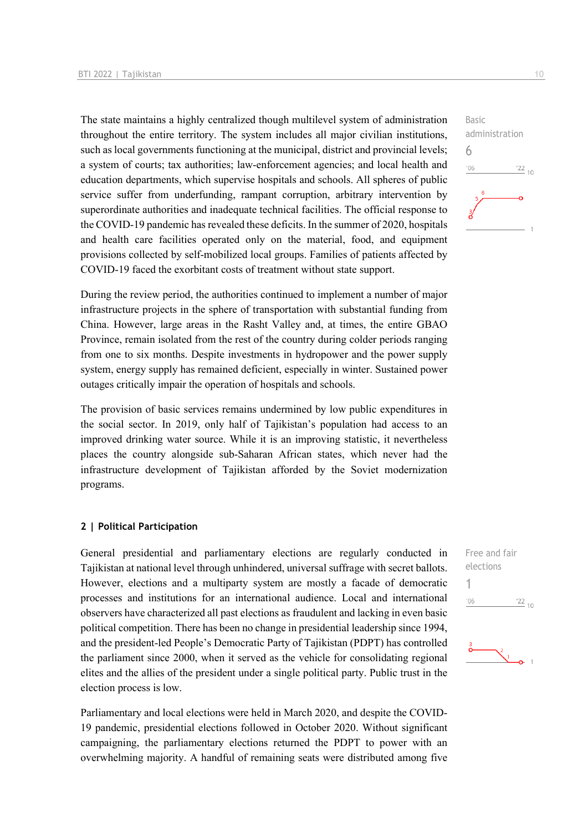The state maintains a highly centralized though multilevel system of administration throughout the entire territory. The system includes all major civilian institutions, such as local governments functioning at the municipal, district and provincial levels; a system of courts; tax authorities; law-enforcement agencies; and local health and education departments, which supervise hospitals and schools. All spheres of public service suffer from underfunding, rampant corruption, arbitrary intervention by superordinate authorities and inadequate technical facilities. The official response to the COVID-19 pandemic has revealed these deficits. In the summer of 2020, hospitals and health care facilities operated only on the material, food, and equipment provisions collected by self-mobilized local groups. Families of patients affected by COVID-19 faced the exorbitant costs of treatment without state support.

During the review period, the authorities continued to implement a number of major infrastructure projects in the sphere of transportation with substantial funding from China. However, large areas in the Rasht Valley and, at times, the entire GBAO Province, remain isolated from the rest of the country during colder periods ranging from one to six months. Despite investments in hydropower and the power supply system, energy supply has remained deficient, especially in winter. Sustained power outages critically impair the operation of hospitals and schools.

The provision of basic services remains undermined by low public expenditures in the social sector. In 2019, only half of Tajikistan's population had access to an improved drinking water source. While it is an improving statistic, it nevertheless places the country alongside sub-Saharan African states, which never had the infrastructure development of Tajikistan afforded by the Soviet modernization programs.

#### **2 | Political Participation**

General presidential and parliamentary elections are regularly conducted in Tajikistan at national level through unhindered, universal suffrage with secret ballots. However, elections and a multiparty system are mostly a facade of democratic processes and institutions for an international audience. Local and international observers have characterized all past elections as fraudulent and lacking in even basic political competition. There has been no change in presidential leadership since 1994, and the president-led People's Democratic Party of Tajikistan (PDPT) has controlled the parliament since 2000, when it served as the vehicle for consolidating regional elites and the allies of the president under a single political party. Public trust in the election process is low.

Parliamentary and local elections were held in March 2020, and despite the COVID-19 pandemic, presidential elections followed in October 2020. Without significant campaigning, the parliamentary elections returned the PDPT to power with an overwhelming majority. A handful of remaining seats were distributed among five

6  $'06$  $\frac{22}{10}$ 

administration

Basic

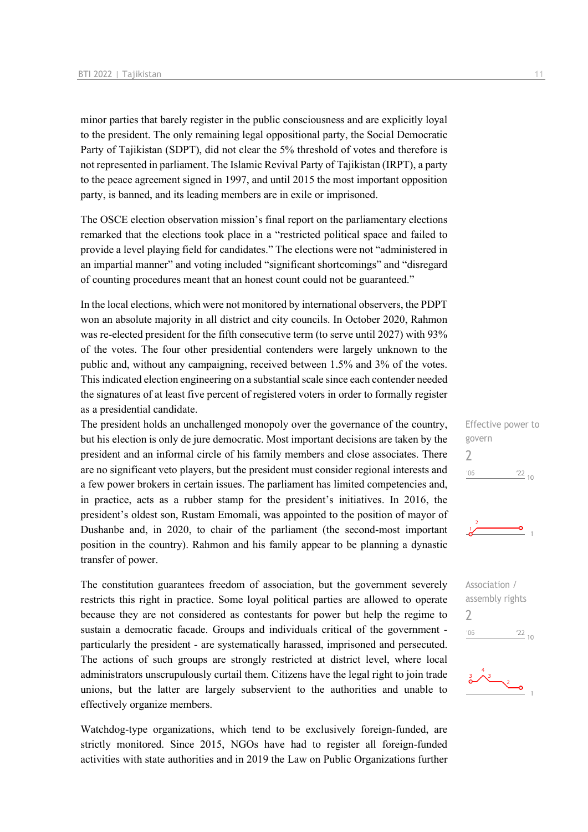minor parties that barely register in the public consciousness and are explicitly loyal to the president. The only remaining legal oppositional party, the Social Democratic Party of Tajikistan (SDPT), did not clear the 5% threshold of votes and therefore is not represented in parliament. The Islamic Revival Party of Tajikistan (IRPT), a party to the peace agreement signed in 1997, and until 2015 the most important opposition party, is banned, and its leading members are in exile or imprisoned.

The OSCE election observation mission's final report on the parliamentary elections remarked that the elections took place in a "restricted political space and failed to provide a level playing field for candidates." The elections were not "administered in an impartial manner" and voting included "significant shortcomings" and "disregard of counting procedures meant that an honest count could not be guaranteed."

In the local elections, which were not monitored by international observers, the PDPT won an absolute majority in all district and city councils. In October 2020, Rahmon was re-elected president for the fifth consecutive term (to serve until 2027) with 93% of the votes. The four other presidential contenders were largely unknown to the public and, without any campaigning, received between 1.5% and 3% of the votes. This indicated election engineering on a substantial scale since each contender needed the signatures of at least five percent of registered voters in order to formally register as a presidential candidate.

The president holds an unchallenged monopoly over the governance of the country, but his election is only de jure democratic. Most important decisions are taken by the president and an informal circle of his family members and close associates. There are no significant veto players, but the president must consider regional interests and a few power brokers in certain issues. The parliament has limited competencies and, in practice, acts as a rubber stamp for the president's initiatives. In 2016, the president's oldest son, Rustam Emomali, was appointed to the position of mayor of Dushanbe and, in 2020, to chair of the parliament (the second-most important position in the country). Rahmon and his family appear to be planning a dynastic transfer of power.

The constitution guarantees freedom of association, but the government severely restricts this right in practice. Some loyal political parties are allowed to operate because they are not considered as contestants for power but help the regime to sustain a democratic facade. Groups and individuals critical of the government particularly the president - are systematically harassed, imprisoned and persecuted. The actions of such groups are strongly restricted at district level, where local administrators unscrupulously curtail them. Citizens have the legal right to join trade unions, but the latter are largely subservient to the authorities and unable to effectively organize members.

Watchdog-type organizations, which tend to be exclusively foreign-funded, are strictly monitored. Since 2015, NGOs have had to register all foreign-funded activities with state authorities and in 2019 the Law on Public Organizations further







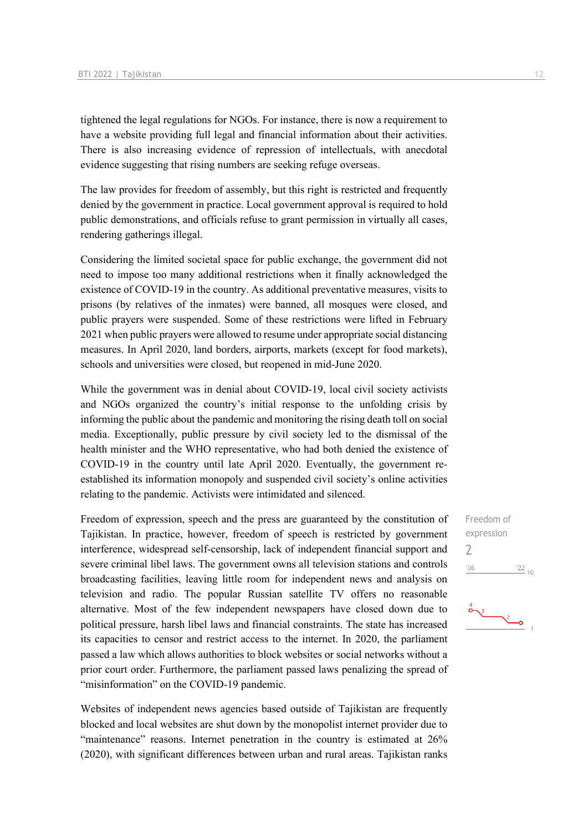tightened the legal regulations for NGOs. For instance, there is now a requirement to have a website providing full legal and financial information about their activities. There is also increasing evidence of repression of intellectuals, with anecdotal evidence suggesting that rising numbers are seeking refuge overseas.

The law provides for freedom of assembly, but this right is restricted and frequently denied by the government in practice. Local government approval is required to hold public demonstrations, and officials refuse to grant permission in virtually all cases, rendering gatherings illegal.

Considering the limited societal space for public exchange, the government did not need to impose too many additional restrictions when it finally acknowledged the existence of COVID-19 in the country. As additional preventative measures, visits to prisons (by relatives of the inmates) were banned, all mosques were closed, and public prayers were suspended. Some of these restrictions were lifted in February 2021 when public prayers were allowed to resume under appropriate social distancing measures. In April 2020, land borders, airports, markets (except for food markets), schools and universities were closed, but reopened in mid-June 2020.

While the government was in denial about COVID-19, local civil society activists and NGOs organized the country's initial response to the unfolding crisis by informing the public about the pandemic and monitoring the rising death toll on social media. Exceptionally, public pressure by civil society led to the dismissal of the health minister and the WHO representative, who had both denied the existence of COVID-19 in the country until late April 2020. Eventually, the government reestablished its information monopoly and suspended civil society's online activities relating to the pandemic. Activists were intimidated and silenced.

Freedom of expression, speech and the press are guaranteed by the constitution of Tajikistan. In practice, however, freedom of speech is restricted by government interference, widespread self-censorship, lack of independent financial support and severe criminal libel laws. The government owns all television stations and controls broadcasting facilities, leaving little room for independent news and analysis on television and radio. The popular Russian satellite TV offers no reasonable alternative. Most of the few independent newspapers have closed down due to political pressure, harsh libel laws and financial constraints. The state has increased its capacities to censor and restrict access to the internet. In 2020, the parliament passed a law which allows authorities to block websites or social networks without a prior court order. Furthermore, the parliament passed laws penalizing the spread of "misinformation" on the COVID-19 pandemic.

Websites of independent news agencies based outside of Tajikistan are frequently blocked and local websites are shut down by the monopolist internet provider due to "maintenance" reasons. Internet penetration in the country is estimated at 26% (2020), with significant differences between urban and rural areas. Tajikistan ranks

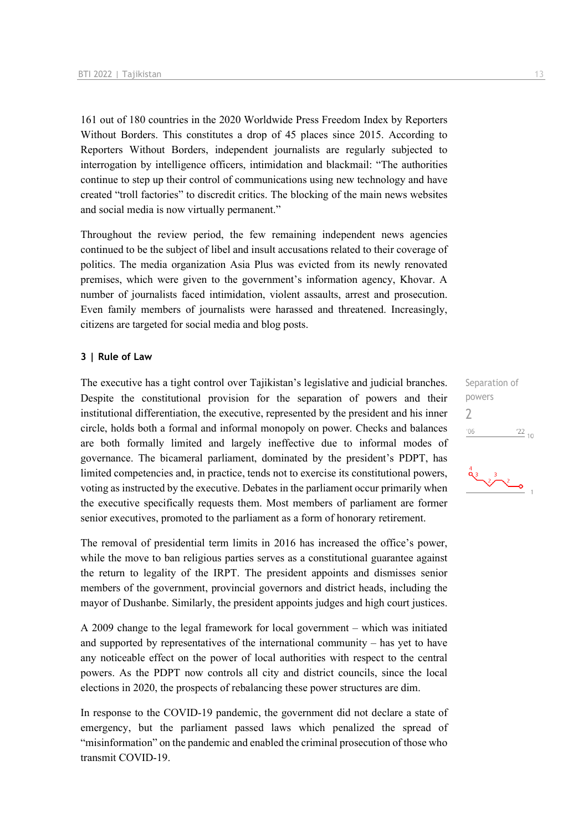161 out of 180 countries in the 2020 Worldwide Press Freedom Index by Reporters Without Borders. This constitutes a drop of 45 places since 2015. According to Reporters Without Borders, independent journalists are regularly subjected to interrogation by intelligence officers, intimidation and blackmail: "The authorities continue to step up their control of communications using new technology and have created "troll factories" to discredit critics. The blocking of the main news websites and social media is now virtually permanent."

Throughout the review period, the few remaining independent news agencies continued to be the subject of libel and insult accusations related to their coverage of politics. The media organization Asia Plus was evicted from its newly renovated premises, which were given to the government's information agency, Khovar. A number of journalists faced intimidation, violent assaults, arrest and prosecution. Even family members of journalists were harassed and threatened. Increasingly, citizens are targeted for social media and blog posts.

#### **3 | Rule of Law**

The executive has a tight control over Tajikistan's legislative and judicial branches. Despite the constitutional provision for the separation of powers and their institutional differentiation, the executive, represented by the president and his inner circle, holds both a formal and informal monopoly on power. Checks and balances are both formally limited and largely ineffective due to informal modes of governance. The bicameral parliament, dominated by the president's PDPT, has limited competencies and, in practice, tends not to exercise its constitutional powers, voting as instructed by the executive. Debates in the parliament occur primarily when the executive specifically requests them. Most members of parliament are former senior executives, promoted to the parliament as a form of honorary retirement.

The removal of presidential term limits in 2016 has increased the office's power, while the move to ban religious parties serves as a constitutional guarantee against the return to legality of the IRPT. The president appoints and dismisses senior members of the government, provincial governors and district heads, including the mayor of Dushanbe. Similarly, the president appoints judges and high court justices.

A 2009 change to the legal framework for local government – which was initiated and supported by representatives of the international community – has yet to have any noticeable effect on the power of local authorities with respect to the central powers. As the PDPT now controls all city and district councils, since the local elections in 2020, the prospects of rebalancing these power structures are dim.

In response to the COVID-19 pandemic, the government did not declare a state of emergency, but the parliament passed laws which penalized the spread of "misinformation" on the pandemic and enabled the criminal prosecution of those who transmit COVID-19.

Separation of powers 2 $-06$  $\frac{22}{10}$ 

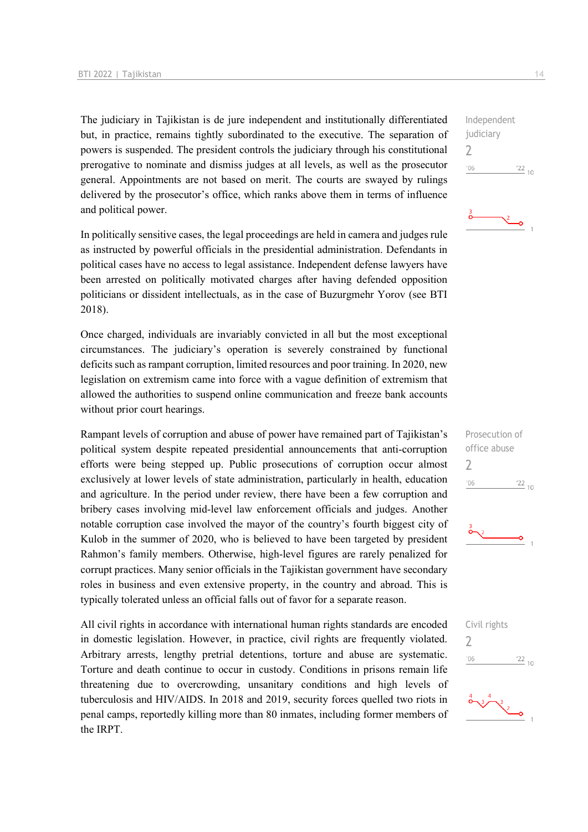The judiciary in Tajikistan is de jure independent and institutionally differentiated but, in practice, remains tightly subordinated to the executive. The separation of powers is suspended. The president controls the judiciary through his constitutional prerogative to nominate and dismiss judges at all levels, as well as the prosecutor general. Appointments are not based on merit. The courts are swayed by rulings delivered by the prosecutor's office, which ranks above them in terms of influence and political power.

In politically sensitive cases, the legal proceedings are held in camera and judges rule as instructed by powerful officials in the presidential administration. Defendants in political cases have no access to legal assistance. Independent defense lawyers have been arrested on politically motivated charges after having defended opposition politicians or dissident intellectuals, as in the case of Buzurgmehr Yorov (see BTI 2018).

Once charged, individuals are invariably convicted in all but the most exceptional circumstances. The judiciary's operation is severely constrained by functional deficits such as rampant corruption, limited resources and poor training. In 2020, new legislation on extremism came into force with a vague definition of extremism that allowed the authorities to suspend online communication and freeze bank accounts without prior court hearings.

Rampant levels of corruption and abuse of power have remained part of Tajikistan's political system despite repeated presidential announcements that anti-corruption efforts were being stepped up. Public prosecutions of corruption occur almost exclusively at lower levels of state administration, particularly in health, education and agriculture. In the period under review, there have been a few corruption and bribery cases involving mid-level law enforcement officials and judges. Another notable corruption case involved the mayor of the country's fourth biggest city of Kulob in the summer of 2020, who is believed to have been targeted by president Rahmon's family members. Otherwise, high-level figures are rarely penalized for corrupt practices. Many senior officials in the Tajikistan government have secondary roles in business and even extensive property, in the country and abroad. This is typically tolerated unless an official falls out of favor for a separate reason.

All civil rights in accordance with international human rights standards are encoded in domestic legislation. However, in practice, civil rights are frequently violated. Arbitrary arrests, lengthy pretrial detentions, torture and abuse are systematic. Torture and death continue to occur in custody. Conditions in prisons remain life threatening due to overcrowding, unsanitary conditions and high levels of tuberculosis and HIV/AIDS. In 2018 and 2019, security forces quelled two riots in penal camps, reportedly killing more than 80 inmates, including former members of the IRPT.

Independent judiciary 2  $^{\prime}06$  $\frac{22}{10}$ 

۰Ó





Civil rights

 $\overline{\phantom{0}}$ 

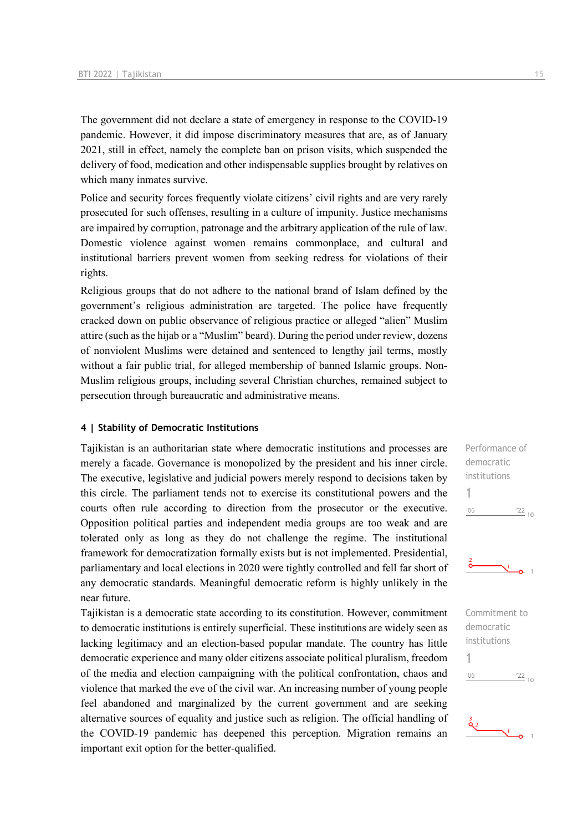The government did not declare a state of emergency in response to the COVID-19 pandemic. However, it did impose discriminatory measures that are, as of January 2021, still in effect, namely the complete ban on prison visits, which suspended the delivery of food, medication and other indispensable supplies brought by relatives on which many inmates survive.

Police and security forces frequently violate citizens' civil rights and are very rarely prosecuted for such offenses, resulting in a culture of impunity. Justice mechanisms are impaired by corruption, patronage and the arbitrary application of the rule of law. Domestic violence against women remains commonplace, and cultural and institutional barriers prevent women from seeking redress for violations of their rights.

Religious groups that do not adhere to the national brand of Islam defined by the government's religious administration are targeted. The police have frequently cracked down on public observance of religious practice or alleged "alien" Muslim attire (such as the hijab or a "Muslim" beard). During the period under review, dozens of nonviolent Muslims were detained and sentenced to lengthy jail terms, mostly without a fair public trial, for alleged membership of banned Islamic groups. Non-Muslim religious groups, including several Christian churches, remained subject to persecution through bureaucratic and administrative means.

#### **4 | Stability of Democratic Institutions**

Tajikistan is an authoritarian state where democratic institutions and processes are merely a facade. Governance is monopolized by the president and his inner circle. The executive, legislative and judicial powers merely respond to decisions taken by this circle. The parliament tends not to exercise its constitutional powers and the courts often rule according to direction from the prosecutor or the executive. Opposition political parties and independent media groups are too weak and are tolerated only as long as they do not challenge the regime. The institutional framework for democratization formally exists but is not implemented. Presidential, parliamentary and local elections in 2020 were tightly controlled and fell far short of any democratic standards. Meaningful democratic reform is highly unlikely in the near future.

Tajikistan is a democratic state according to its constitution. However, commitment to democratic institutions is entirely superficial. These institutions are widely seen as lacking legitimacy and an election-based popular mandate. The country has little democratic experience and many older citizens associate political pluralism, freedom of the media and election campaigning with the political confrontation, chaos and violence that marked the eve of the civil war. An increasing number of young people feel abandoned and marginalized by the current government and are seeking alternative sources of equality and justice such as religion. The official handling of the COVID-19 pandemic has deepened this perception. Migration remains an important exit option for the better-qualified.

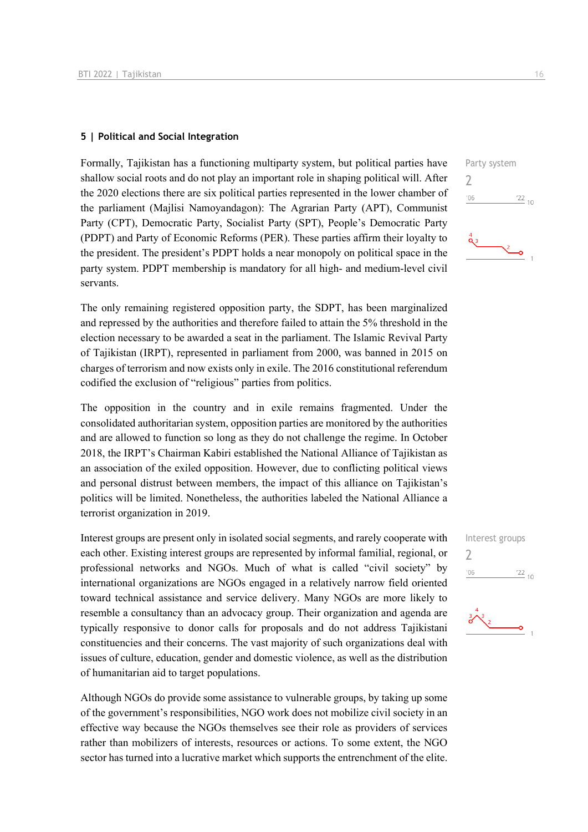#### **5 | Political and Social Integration**

Formally, Tajikistan has a functioning multiparty system, but political parties have shallow social roots and do not play an important role in shaping political will. After the 2020 elections there are six political parties represented in the lower chamber of the parliament (Majlisi Namoyandagon): The Agrarian Party (APT), Communist Party (CPT), Democratic Party, Socialist Party (SPT), People's Democratic Party (PDPT) and Party of Economic Reforms (PER). These parties affirm their loyalty to the president. The president's PDPT holds a near monopoly on political space in the party system. PDPT membership is mandatory for all high- and medium-level civil servants.

The only remaining registered opposition party, the SDPT, has been marginalized and repressed by the authorities and therefore failed to attain the 5% threshold in the election necessary to be awarded a seat in the parliament. The Islamic Revival Party of Tajikistan (IRPT), represented in parliament from 2000, was banned in 2015 on charges of terrorism and now exists only in exile. The 2016 constitutional referendum codified the exclusion of "religious" parties from politics.

The opposition in the country and in exile remains fragmented. Under the consolidated authoritarian system, opposition parties are monitored by the authorities and are allowed to function so long as they do not challenge the regime. In October 2018, the IRPT's Chairman Kabiri established the National Alliance of Tajikistan as an association of the exiled opposition. However, due to conflicting political views and personal distrust between members, the impact of this alliance on Tajikistan's politics will be limited. Nonetheless, the authorities labeled the National Alliance a terrorist organization in 2019.

Interest groups are present only in isolated social segments, and rarely cooperate with each other. Existing interest groups are represented by informal familial, regional, or professional networks and NGOs. Much of what is called "civil society" by international organizations are NGOs engaged in a relatively narrow field oriented toward technical assistance and service delivery. Many NGOs are more likely to resemble a consultancy than an advocacy group. Their organization and agenda are typically responsive to donor calls for proposals and do not address Tajikistani constituencies and their concerns. The vast majority of such organizations deal with issues of culture, education, gender and domestic violence, as well as the distribution of humanitarian aid to target populations.

Although NGOs do provide some assistance to vulnerable groups, by taking up some of the government's responsibilities, NGO work does not mobilize civil society in an effective way because the NGOs themselves see their role as providers of services rather than mobilizers of interests, resources or actions. To some extent, the NGO sector has turned into a lucrative market which supports the entrenchment of the elite.





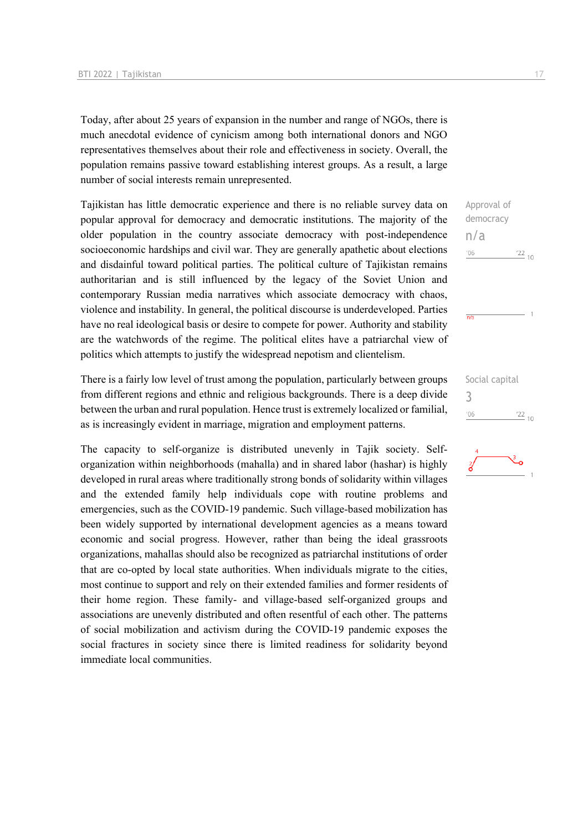Today, after about 25 years of expansion in the number and range of NGOs, there is much anecdotal evidence of cynicism among both international donors and NGO representatives themselves about their role and effectiveness in society. Overall, the population remains passive toward establishing interest groups. As a result, a large number of social interests remain unrepresented.

Tajikistan has little democratic experience and there is no reliable survey data on popular approval for democracy and democratic institutions. The majority of the older population in the country associate democracy with post-independence socioeconomic hardships and civil war. They are generally apathetic about elections and disdainful toward political parties. The political culture of Tajikistan remains authoritarian and is still influenced by the legacy of the Soviet Union and contemporary Russian media narratives which associate democracy with chaos, violence and instability. In general, the political discourse is underdeveloped. Parties have no real ideological basis or desire to compete for power. Authority and stability are the watchwords of the regime. The political elites have a patriarchal view of politics which attempts to justify the widespread nepotism and clientelism.

There is a fairly low level of trust among the population, particularly between groups from different regions and ethnic and religious backgrounds. There is a deep divide between the urban and rural population. Hence trust is extremely localized or familial, as is increasingly evident in marriage, migration and employment patterns.

The capacity to self-organize is distributed unevenly in Tajik society. Selforganization within neighborhoods (mahalla) and in shared labor (hashar) is highly developed in rural areas where traditionally strong bonds of solidarity within villages and the extended family help individuals cope with routine problems and emergencies, such as the COVID-19 pandemic. Such village-based mobilization has been widely supported by international development agencies as a means toward economic and social progress. However, rather than being the ideal grassroots organizations, mahallas should also be recognized as patriarchal institutions of order that are co-opted by local state authorities. When individuals migrate to the cities, most continue to support and rely on their extended families and former residents of their home region. These family- and village-based self-organized groups and associations are unevenly distributed and often resentful of each other. The patterns of social mobilization and activism during the COVID-19 pandemic exposes the social fractures in society since there is limited readiness for solidarity beyond immediate local communities.

Approval of democracy n/a  $\frac{22}{10}$  $106$  $\overline{n/a}$ Social capital 3 $\frac{22}{10}$  $^{\prime}06$ 

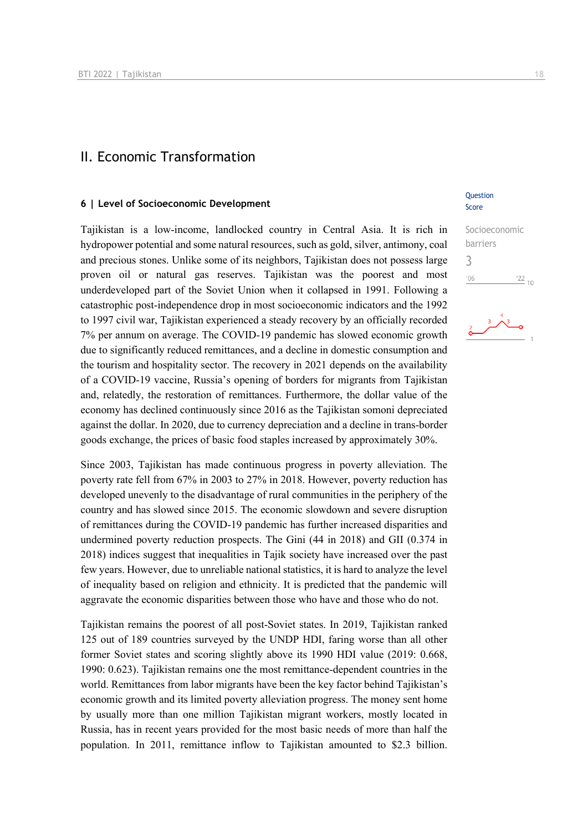## II. Economic Transformation

#### **6 | Level of Socioeconomic Development**

Tajikistan is a low-income, landlocked country in Central Asia. It is rich in hydropower potential and some natural resources, such as gold, silver, antimony, coal and precious stones. Unlike some of its neighbors, Tajikistan does not possess large proven oil or natural gas reserves. Tajikistan was the poorest and most underdeveloped part of the Soviet Union when it collapsed in 1991. Following a catastrophic post-independence drop in most socioeconomic indicators and the 1992 to 1997 civil war, Tajikistan experienced a steady recovery by an officially recorded 7% per annum on average. The COVID-19 pandemic has slowed economic growth due to significantly reduced remittances, and a decline in domestic consumption and the tourism and hospitality sector. The recovery in 2021 depends on the availability of a COVID-19 vaccine, Russia's opening of borders for migrants from Tajikistan and, relatedly, the restoration of remittances. Furthermore, the dollar value of the economy has declined continuously since 2016 as the Tajikistan somoni depreciated against the dollar. In 2020, due to currency depreciation and a decline in trans-border goods exchange, the prices of basic food staples increased by approximately 30%.

Since 2003, Tajikistan has made continuous progress in poverty alleviation. The poverty rate fell from 67% in 2003 to 27% in 2018. However, poverty reduction has developed unevenly to the disadvantage of rural communities in the periphery of the country and has slowed since 2015. The economic slowdown and severe disruption of remittances during the COVID-19 pandemic has further increased disparities and undermined poverty reduction prospects. The Gini (44 in 2018) and GII (0.374 in 2018) indices suggest that inequalities in Tajik society have increased over the past few years. However, due to unreliable national statistics, it is hard to analyze the level of inequality based on religion and ethnicity. It is predicted that the pandemic will aggravate the economic disparities between those who have and those who do not.

Tajikistan remains the poorest of all post-Soviet states. In 2019, Tajikistan ranked 125 out of 189 countries surveyed by the UNDP HDI, faring worse than all other former Soviet states and scoring slightly above its 1990 HDI value (2019: 0.668, 1990: 0.623). Tajikistan remains one the most remittance-dependent countries in the world. Remittances from labor migrants have been the key factor behind Tajikistan's economic growth and its limited poverty alleviation progress. The money sent home by usually more than one million Tajikistan migrant workers, mostly located in Russia, has in recent years provided for the most basic needs of more than half the population. In 2011, remittance inflow to Tajikistan amounted to \$2.3 billion.

#### **Ouestion** Score

## Socioeconomic barriers 3 $06'$  $\frac{22}{10}$

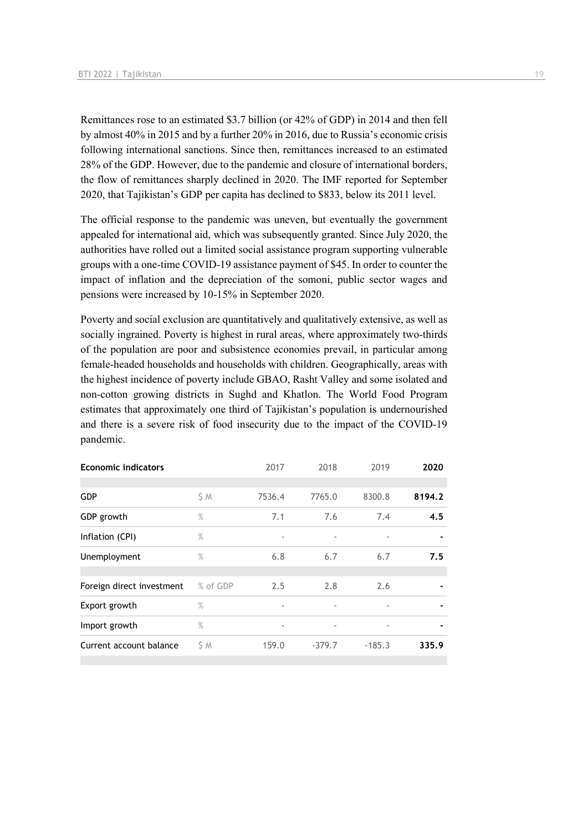Remittances rose to an estimated \$3.7 billion (or 42% of GDP) in 2014 and then fell by almost 40% in 2015 and by a further 20% in 2016, due to Russia's economic crisis following international sanctions. Since then, remittances increased to an estimated 28% of the GDP. However, due to the pandemic and closure of international borders, the flow of remittances sharply declined in 2020. The IMF reported for September 2020, that Tajikistan's GDP per capita has declined to \$833, below its 2011 level.

The official response to the pandemic was uneven, but eventually the government appealed for international aid, which was subsequently granted. Since July 2020, the authorities have rolled out a limited social assistance program supporting vulnerable groups with a one-time COVID-19 assistance payment of \$45. In order to counter the impact of inflation and the depreciation of the somoni, public sector wages and pensions were increased by 10-15% in September 2020.

Poverty and social exclusion are quantitatively and qualitatively extensive, as well as socially ingrained. Poverty is highest in rural areas, where approximately two-thirds of the population are poor and subsistence economies prevail, in particular among female-headed households and households with children. Geographically, areas with the highest incidence of poverty include GBAO, Rasht Valley and some isolated and non-cotton growing districts in Sughd and Khatlon. The World Food Program estimates that approximately one third of Tajikistan's population is undernourished and there is a severe risk of food insecurity due to the impact of the COVID-19 pandemic.

| <b>Economic indicators</b> |          | 2017                     | 2018                     | 2019                     | 2020   |
|----------------------------|----------|--------------------------|--------------------------|--------------------------|--------|
|                            |          |                          |                          |                          |        |
| <b>GDP</b>                 | \$ M     | 7536.4                   | 7765.0                   | 8300.8                   | 8194.2 |
| GDP growth                 | $\%$     | 7.1                      | 7.6                      | 7.4                      | 4.5    |
| Inflation (CPI)            | $\%$     | $\blacksquare$           |                          |                          |        |
| Unemployment               | $\%$     | 6.8                      | 6.7                      | 6.7                      | 7.5    |
|                            |          |                          |                          |                          |        |
| Foreign direct investment  | % of GDP | 2.5                      | 2.8                      | 2.6                      |        |
| Export growth              | $\%$     | $\overline{\phantom{a}}$ |                          | ٠                        |        |
| Import growth              | $\%$     | $\overline{\phantom{a}}$ | $\overline{\phantom{a}}$ | $\overline{\phantom{a}}$ |        |
| Current account balance    | \$ M     | 159.0                    | $-379.7$                 | $-185.3$                 | 335.9  |
|                            |          |                          |                          |                          |        |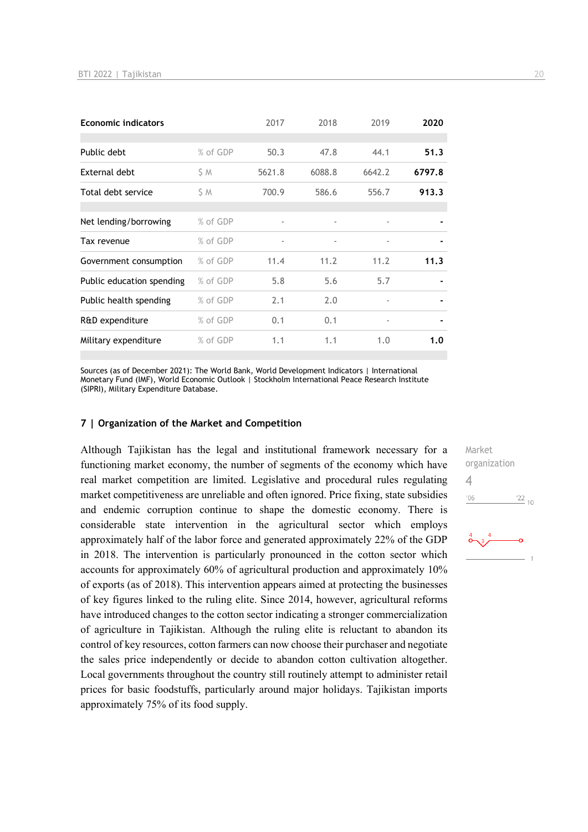| <b>Economic indicators</b> |          | 2017                     | 2018                     | 2019   | 2020   |
|----------------------------|----------|--------------------------|--------------------------|--------|--------|
|                            |          |                          |                          |        |        |
| Public debt                | % of GDP | 50.3                     | 47.8                     | 44.1   | 51.3   |
| External debt              | ŚΜ       | 5621.8                   | 6088.8                   | 6642.2 | 6797.8 |
| Total debt service         | SΜ       | 700.9                    | 586.6                    | 556.7  | 913.3  |
|                            |          |                          |                          |        |        |
| Net lending/borrowing      | % of GDP | $\overline{\phantom{a}}$ | $\overline{\phantom{a}}$ | ٠      |        |
| Tax revenue                | % of GDP | $\overline{\phantom{a}}$ | $\overline{\phantom{a}}$ | ٠      |        |
| Government consumption     | % of GDP | 11.4                     | 11.2                     | 11.2   | 11.3   |
| Public education spending  | % of GDP | 5.8                      | 5.6                      | 5.7    |        |
| Public health spending     | % of GDP | 2.1                      | 2.0                      |        |        |
| R&D expenditure            | % of GDP | 0.1                      | 0.1                      | ٠      |        |
| Military expenditure       | % of GDP | 1.1                      | 1.1                      | 1.0    | 1.0    |

Sources (as of December 2021): The World Bank, World Development Indicators | International Monetary Fund (IMF), World Economic Outlook | Stockholm International Peace Research Institute (SIPRI), Military Expenditure Database.

#### **7 | Organization of the Market and Competition**

Although Tajikistan has the legal and institutional framework necessary for a functioning market economy, the number of segments of the economy which have real market competition are limited. Legislative and procedural rules regulating market competitiveness are unreliable and often ignored. Price fixing, state subsidies and endemic corruption continue to shape the domestic economy. There is considerable state intervention in the agricultural sector which employs approximately half of the labor force and generated approximately 22% of the GDP in 2018. The intervention is particularly pronounced in the cotton sector which accounts for approximately 60% of agricultural production and approximately 10% of exports (as of 2018). This intervention appears aimed at protecting the businesses of key figures linked to the ruling elite. Since 2014, however, agricultural reforms have introduced changes to the cotton sector indicating a stronger commercialization of agriculture in Tajikistan. Although the ruling elite is reluctant to abandon its control of key resources, cotton farmers can now choose their purchaser and negotiate the sales price independently or decide to abandon cotton cultivation altogether. Local governments throughout the country still routinely attempt to administer retail prices for basic foodstuffs, particularly around major holidays. Tajikistan imports approximately 75% of its food supply.

Market organization 4 $\frac{22}{10}$  $-06$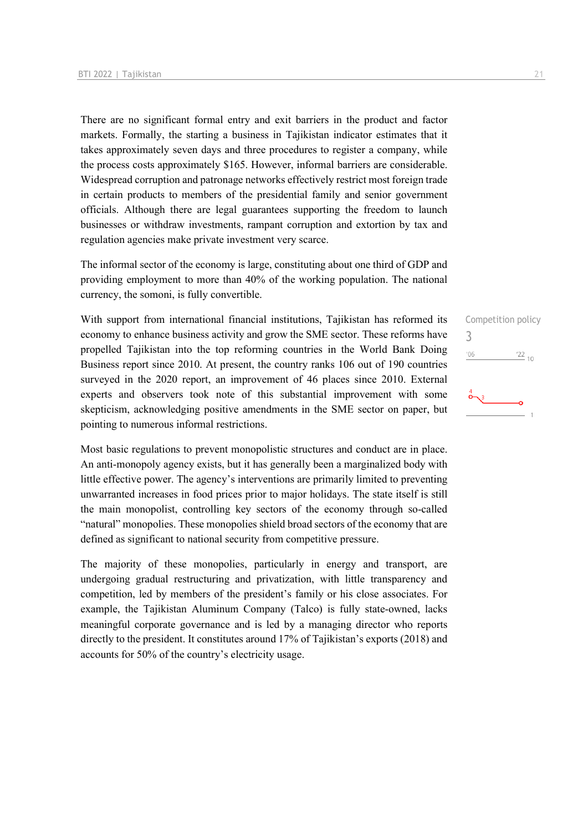There are no significant formal entry and exit barriers in the product and factor markets. Formally, the starting a business in Tajikistan indicator estimates that it takes approximately seven days and three procedures to register a company, while the process costs approximately \$165. However, informal barriers are considerable. Widespread corruption and patronage networks effectively restrict most foreign trade in certain products to members of the presidential family and senior government officials. Although there are legal guarantees supporting the freedom to launch businesses or withdraw investments, rampant corruption and extortion by tax and regulation agencies make private investment very scarce.

The informal sector of the economy is large, constituting about one third of GDP and providing employment to more than 40% of the working population. The national currency, the somoni, is fully convertible.

With support from international financial institutions, Tajikistan has reformed its economy to enhance business activity and grow the SME sector. These reforms have propelled Tajikistan into the top reforming countries in the World Bank Doing Business report since 2010. At present, the country ranks 106 out of 190 countries surveyed in the 2020 report, an improvement of 46 places since 2010. External experts and observers took note of this substantial improvement with some skepticism, acknowledging positive amendments in the SME sector on paper, but pointing to numerous informal restrictions.

Most basic regulations to prevent monopolistic structures and conduct are in place. An anti-monopoly agency exists, but it has generally been a marginalized body with little effective power. The agency's interventions are primarily limited to preventing unwarranted increases in food prices prior to major holidays. The state itself is still the main monopolist, controlling key sectors of the economy through so-called "natural" monopolies. These monopolies shield broad sectors of the economy that are defined as significant to national security from competitive pressure.

The majority of these monopolies, particularly in energy and transport, are undergoing gradual restructuring and privatization, with little transparency and competition, led by members of the president's family or his close associates. For example, the Tajikistan Aluminum Company (Talco) is fully state-owned, lacks meaningful corporate governance and is led by a managing director who reports directly to the president. It constitutes around 17% of Tajikistan's exports (2018) and accounts for 50% of the country's electricity usage.

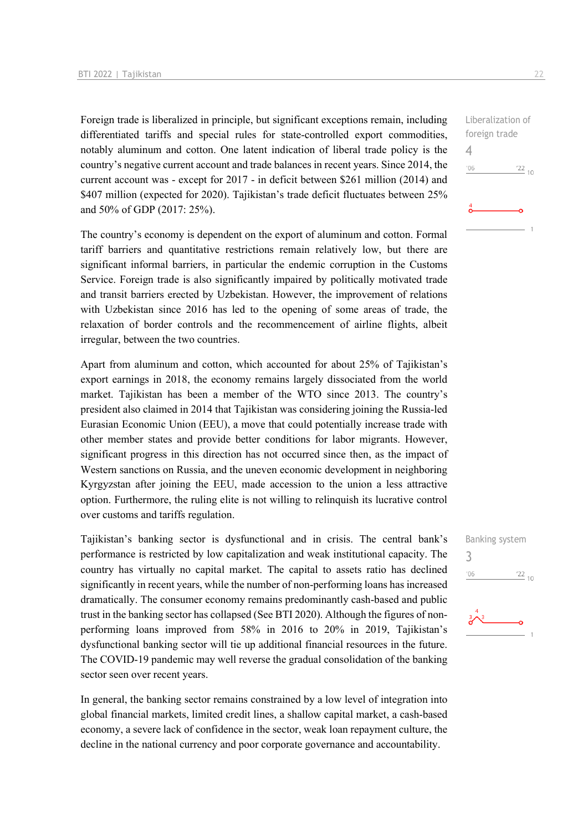Foreign trade is liberalized in principle, but significant exceptions remain, including differentiated tariffs and special rules for state-controlled export commodities, notably aluminum and cotton. One latent indication of liberal trade policy is the country's negative current account and trade balances in recent years. Since 2014, the current account was - except for 2017 - in deficit between \$261 million (2014) and \$407 million (expected for 2020). Tajikistan's trade deficit fluctuates between 25% and 50% of GDP (2017: 25%).

The country's economy is dependent on the export of aluminum and cotton. Formal tariff barriers and quantitative restrictions remain relatively low, but there are significant informal barriers, in particular the endemic corruption in the Customs Service. Foreign trade is also significantly impaired by politically motivated trade and transit barriers erected by Uzbekistan. However, the improvement of relations with Uzbekistan since 2016 has led to the opening of some areas of trade, the relaxation of border controls and the recommencement of airline flights, albeit irregular, between the two countries.

Apart from aluminum and cotton, which accounted for about 25% of Tajikistan's export earnings in 2018, the economy remains largely dissociated from the world market. Tajikistan has been a member of the WTO since 2013. The country's president also claimed in 2014 that Tajikistan was considering joining the Russia-led Eurasian Economic Union (EEU), a move that could potentially increase trade with other member states and provide better conditions for labor migrants. However, significant progress in this direction has not occurred since then, as the impact of Western sanctions on Russia, and the uneven economic development in neighboring Kyrgyzstan after joining the EEU, made accession to the union a less attractive option. Furthermore, the ruling elite is not willing to relinquish its lucrative control over customs and tariffs regulation.

Tajikistan's banking sector is dysfunctional and in crisis. The central bank's performance is restricted by low capitalization and weak institutional capacity. The country has virtually no capital market. The capital to assets ratio has declined significantly in recent years, while the number of non-performing loans has increased dramatically. The consumer economy remains predominantly cash-based and public trust in the banking sector has collapsed (See BTI 2020). Although the figures of nonperforming loans improved from 58% in 2016 to 20% in 2019, Tajikistan's dysfunctional banking sector will tie up additional financial resources in the future. The COVID-19 pandemic may well reverse the gradual consolidation of the banking sector seen over recent years.

In general, the banking sector remains constrained by a low level of integration into global financial markets, limited credit lines, a shallow capital market, a cash-based economy, a severe lack of confidence in the sector, weak loan repayment culture, the decline in the national currency and poor corporate governance and accountability.

 $\frac{22}{10}$ 

Liberalization of foreign trade

Banking system

 $\frac{22}{10}$ 

3

 $-06$ 

 $\Delta$ 

 $-06$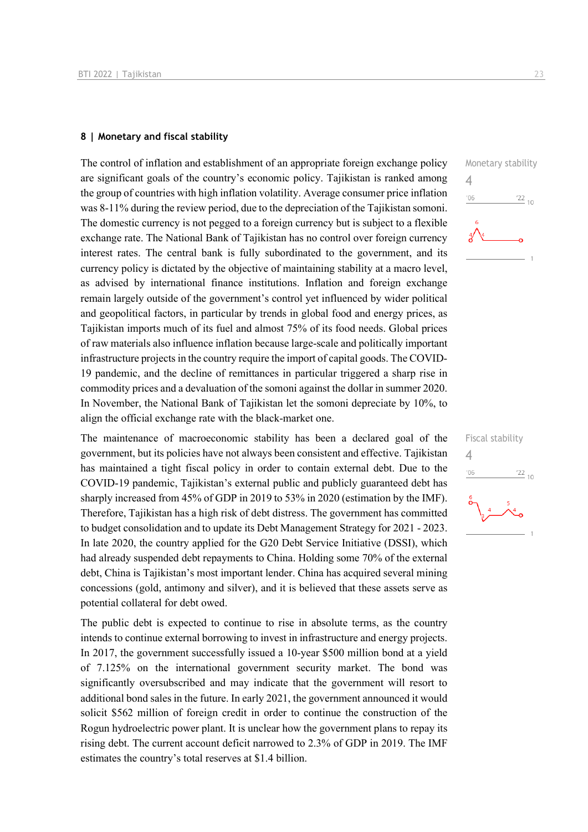#### **8 | Monetary and fiscal stability**

The control of inflation and establishment of an appropriate foreign exchange policy are significant goals of the country's economic policy. Tajikistan is ranked among the group of countries with high inflation volatility. Average consumer price inflation was 8-11% during the review period, due to the depreciation of the Tajikistan somoni. The domestic currency is not pegged to a foreign currency but is subject to a flexible exchange rate. The National Bank of Tajikistan has no control over foreign currency interest rates. The central bank is fully subordinated to the government, and its currency policy is dictated by the objective of maintaining stability at a macro level, as advised by international finance institutions. Inflation and foreign exchange remain largely outside of the government's control yet influenced by wider political and geopolitical factors, in particular by trends in global food and energy prices, as Tajikistan imports much of its fuel and almost 75% of its food needs. Global prices of raw materials also influence inflation because large-scale and politically important infrastructure projects in the country require the import of capital goods. The COVID-19 pandemic, and the decline of remittances in particular triggered a sharp rise in commodity prices and a devaluation of the somoni against the dollar in summer 2020. In November, the National Bank of Tajikistan let the somoni depreciate by 10%, to align the official exchange rate with the black-market one.

The maintenance of macroeconomic stability has been a declared goal of the government, but its policies have not always been consistent and effective. Tajikistan has maintained a tight fiscal policy in order to contain external debt. Due to the COVID-19 pandemic, Tajikistan's external public and publicly guaranteed debt has sharply increased from 45% of GDP in 2019 to 53% in 2020 (estimation by the IMF). Therefore, Tajikistan has a high risk of debt distress. The government has committed to budget consolidation and to update its Debt Management Strategy for 2021 - 2023. In late 2020, the country applied for the G20 Debt Service Initiative (DSSI), which had already suspended debt repayments to China. Holding some 70% of the external debt, China is Tajikistan's most important lender. China has acquired several mining concessions (gold, antimony and silver), and it is believed that these assets serve as potential collateral for debt owed.

The public debt is expected to continue to rise in absolute terms, as the country intends to continue external borrowing to invest in infrastructure and energy projects. In 2017, the government successfully issued a 10-year \$500 million bond at a yield of 7.125% on the international government security market. The bond was significantly oversubscribed and may indicate that the government will resort to additional bond sales in the future. In early 2021, the government announced it would solicit \$562 million of foreign credit in order to continue the construction of the Rogun hydroelectric power plant. It is unclear how the government plans to repay its rising debt. The current account deficit narrowed to 2.3% of GDP in 2019. The IMF estimates the country's total reserves at \$1.4 billion.



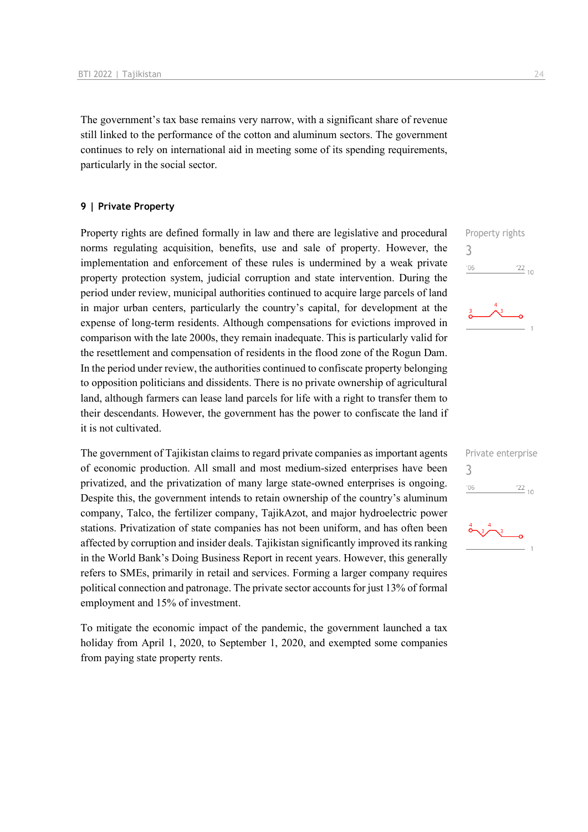The government's tax base remains very narrow, with a significant share of revenue still linked to the performance of the cotton and aluminum sectors. The government continues to rely on international aid in meeting some of its spending requirements, particularly in the social sector.

#### **9 | Private Property**

Property rights are defined formally in law and there are legislative and procedural norms regulating acquisition, benefits, use and sale of property. However, the implementation and enforcement of these rules is undermined by a weak private property protection system, judicial corruption and state intervention. During the period under review, municipal authorities continued to acquire large parcels of land in major urban centers, particularly the country's capital, for development at the expense of long-term residents. Although compensations for evictions improved in comparison with the late 2000s, they remain inadequate. This is particularly valid for the resettlement and compensation of residents in the flood zone of the Rogun Dam. In the period under review, the authorities continued to confiscate property belonging to opposition politicians and dissidents. There is no private ownership of agricultural land, although farmers can lease land parcels for life with a right to transfer them to their descendants. However, the government has the power to confiscate the land if it is not cultivated.

The government of Tajikistan claims to regard private companies as important agents of economic production. All small and most medium-sized enterprises have been privatized, and the privatization of many large state-owned enterprises is ongoing. Despite this, the government intends to retain ownership of the country's aluminum company, Talco, the fertilizer company, TajikAzot, and major hydroelectric power stations. Privatization of state companies has not been uniform, and has often been affected by corruption and insider deals. Tajikistan significantly improved its ranking in the World Bank's Doing Business Report in recent years. However, this generally refers to SMEs, primarily in retail and services. Forming a larger company requires political connection and patronage. The private sector accounts for just 13% of formal employment and 15% of investment.

To mitigate the economic impact of the pandemic, the government launched a tax holiday from April 1, 2020, to September 1, 2020, and exempted some companies from paying state property rents.



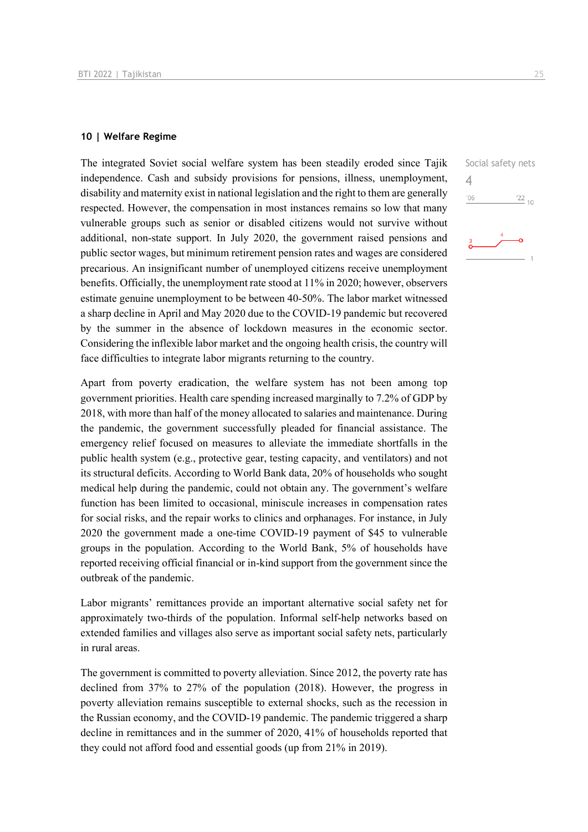#### **10 | Welfare Regime**

The integrated Soviet social welfare system has been steadily eroded since Tajik independence. Cash and subsidy provisions for pensions, illness, unemployment, disability and maternity exist in national legislation and the right to them are generally respected. However, the compensation in most instances remains so low that many vulnerable groups such as senior or disabled citizens would not survive without additional, non-state support. In July 2020, the government raised pensions and public sector wages, but minimum retirement pension rates and wages are considered precarious. An insignificant number of unemployed citizens receive unemployment benefits. Officially, the unemployment rate stood at 11% in 2020; however, observers estimate genuine unemployment to be between 40-50%. The labor market witnessed a sharp decline in April and May 2020 due to the COVID-19 pandemic but recovered by the summer in the absence of lockdown measures in the economic sector. Considering the inflexible labor market and the ongoing health crisis, the country will face difficulties to integrate labor migrants returning to the country.

Apart from poverty eradication, the welfare system has not been among top government priorities. Health care spending increased marginally to 7.2% of GDP by 2018, with more than half of the money allocated to salaries and maintenance. During the pandemic, the government successfully pleaded for financial assistance. The emergency relief focused on measures to alleviate the immediate shortfalls in the public health system (e.g., protective gear, testing capacity, and ventilators) and not its structural deficits. According to World Bank data, 20% of households who sought medical help during the pandemic, could not obtain any. The government's welfare function has been limited to occasional, miniscule increases in compensation rates for social risks, and the repair works to clinics and orphanages. For instance, in July 2020 the government made a one-time COVID-19 payment of \$45 to vulnerable groups in the population. According to the World Bank, 5% of households have reported receiving official financial or in-kind support from the government since the outbreak of the pandemic.

Labor migrants' remittances provide an important alternative social safety net for approximately two-thirds of the population. Informal self-help networks based on extended families and villages also serve as important social safety nets, particularly in rural areas.

The government is committed to poverty alleviation. Since 2012, the poverty rate has declined from 37% to 27% of the population (2018). However, the progress in poverty alleviation remains susceptible to external shocks, such as the recession in the Russian economy, and the COVID-19 pandemic. The pandemic triggered a sharp decline in remittances and in the summer of 2020, 41% of households reported that they could not afford food and essential goods (up from 21% in 2019).

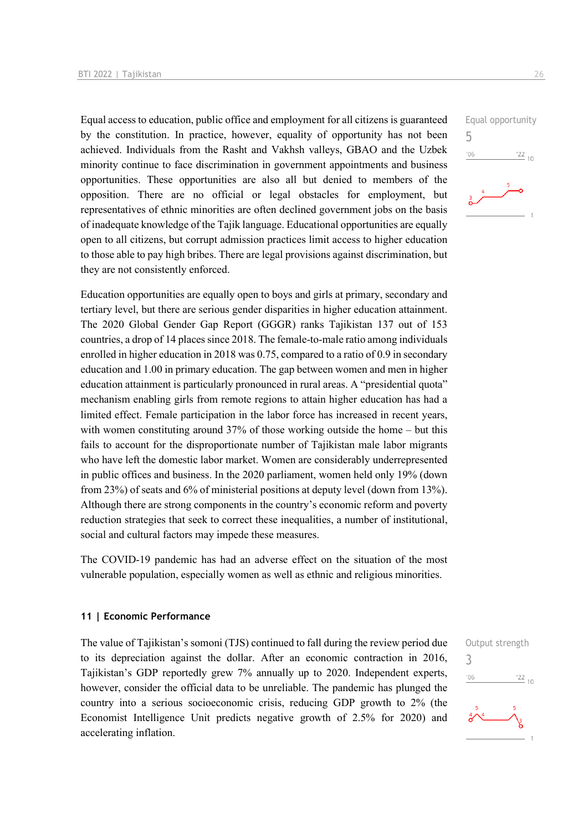Equal access to education, public office and employment for all citizens is guaranteed by the constitution. In practice, however, equality of opportunity has not been achieved. Individuals from the Rasht and Vakhsh valleys, GBAO and the Uzbek minority continue to face discrimination in government appointments and business opportunities. These opportunities are also all but denied to members of the opposition. There are no official or legal obstacles for employment, but representatives of ethnic minorities are often declined government jobs on the basis of inadequate knowledge of the Tajik language. Educational opportunities are equally open to all citizens, but corrupt admission practices limit access to higher education to those able to pay high bribes. There are legal provisions against discrimination, but they are not consistently enforced.

Education opportunities are equally open to boys and girls at primary, secondary and tertiary level, but there are serious gender disparities in higher education attainment. The 2020 Global Gender Gap Report (GGGR) ranks Tajikistan 137 out of 153 countries, a drop of 14 places since 2018. The female-to-male ratio among individuals enrolled in higher education in 2018 was 0.75, compared to a ratio of 0.9 in secondary education and 1.00 in primary education. The gap between women and men in higher education attainment is particularly pronounced in rural areas. A "presidential quota" mechanism enabling girls from remote regions to attain higher education has had a limited effect. Female participation in the labor force has increased in recent years, with women constituting around 37% of those working outside the home – but this fails to account for the disproportionate number of Tajikistan male labor migrants who have left the domestic labor market. Women are considerably underrepresented in public offices and business. In the 2020 parliament, women held only 19% (down from 23%) of seats and 6% of ministerial positions at deputy level (down from 13%). Although there are strong components in the country's economic reform and poverty reduction strategies that seek to correct these inequalities, a number of institutional, social and cultural factors may impede these measures.

The COVID-19 pandemic has had an adverse effect on the situation of the most vulnerable population, especially women as well as ethnic and religious minorities.

#### **11 | Economic Performance**

The value of Tajikistan's somoni (TJS) continued to fall during the review period due to its depreciation against the dollar. After an economic contraction in 2016, Tajikistan's GDP reportedly grew 7% annually up to 2020. Independent experts, however, consider the official data to be unreliable. The pandemic has plunged the country into a serious socioeconomic crisis, reducing GDP growth to 2% (the Economist Intelligence Unit predicts negative growth of 2.5% for 2020) and accelerating inflation.



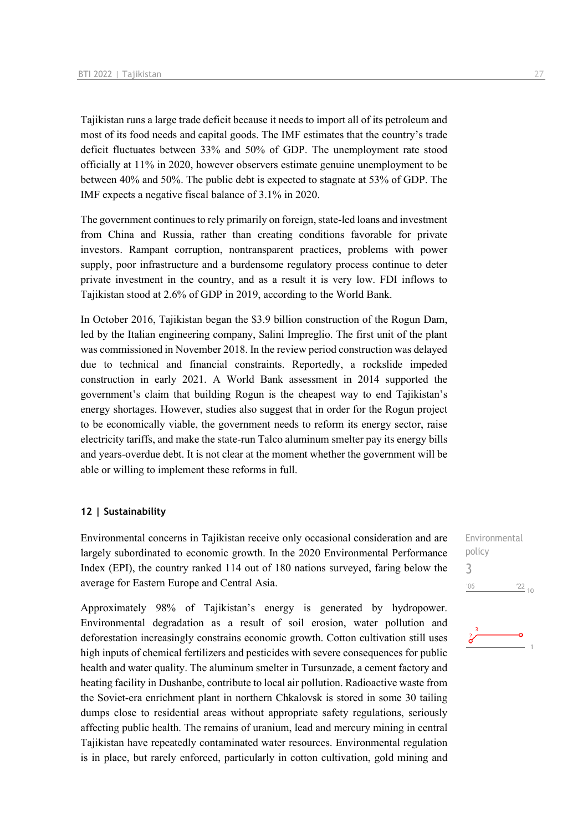Tajikistan runs a large trade deficit because it needs to import all of its petroleum and most of its food needs and capital goods. The IMF estimates that the country's trade deficit fluctuates between 33% and 50% of GDP. The unemployment rate stood officially at 11% in 2020, however observers estimate genuine unemployment to be between 40% and 50%. The public debt is expected to stagnate at 53% of GDP. The IMF expects a negative fiscal balance of 3.1% in 2020.

The government continues to rely primarily on foreign, state-led loans and investment from China and Russia, rather than creating conditions favorable for private investors. Rampant corruption, nontransparent practices, problems with power supply, poor infrastructure and a burdensome regulatory process continue to deter private investment in the country, and as a result it is very low. FDI inflows to Tajikistan stood at 2.6% of GDP in 2019, according to the World Bank.

In October 2016, Tajikistan began the \$3.9 billion construction of the Rogun Dam, led by the Italian engineering company, Salini Impreglio. The first unit of the plant was commissioned in November 2018. In the review period construction was delayed due to technical and financial constraints. Reportedly, a rockslide impeded construction in early 2021. A World Bank assessment in 2014 supported the government's claim that building Rogun is the cheapest way to end Tajikistan's energy shortages. However, studies also suggest that in order for the Rogun project to be economically viable, the government needs to reform its energy sector, raise electricity tariffs, and make the state-run Talco aluminum smelter pay its energy bills and years-overdue debt. It is not clear at the moment whether the government will be able or willing to implement these reforms in full.

#### **12 | Sustainability**

Environmental concerns in Tajikistan receive only occasional consideration and are largely subordinated to economic growth. In the 2020 Environmental Performance Index (EPI), the country ranked 114 out of 180 nations surveyed, faring below the average for Eastern Europe and Central Asia.

Approximately 98% of Tajikistan's energy is generated by hydropower. Environmental degradation as a result of soil erosion, water pollution and deforestation increasingly constrains economic growth. Cotton cultivation still uses high inputs of chemical fertilizers and pesticides with severe consequences for public health and water quality. The aluminum smelter in Tursunzade, a cement factory and heating facility in Dushanbe, contribute to local air pollution. Radioactive waste from the Soviet-era enrichment plant in northern Chkalovsk is stored in some 30 tailing dumps close to residential areas without appropriate safety regulations, seriously affecting public health. The remains of uranium, lead and mercury mining in central Tajikistan have repeatedly contaminated water resources. Environmental regulation is in place, but rarely enforced, particularly in cotton cultivation, gold mining and

Environmental policy 3'06  $\frac{22}{10}$ 

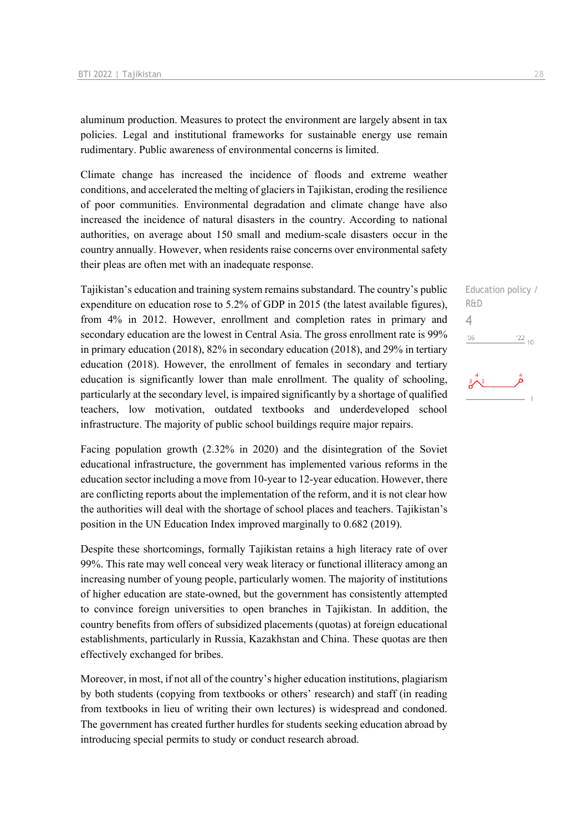aluminum production. Measures to protect the environment are largely absent in tax policies. Legal and institutional frameworks for sustainable energy use remain rudimentary. Public awareness of environmental concerns is limited.

Climate change has increased the incidence of floods and extreme weather conditions, and accelerated the melting of glaciers in Tajikistan, eroding the resilience of poor communities. Environmental degradation and climate change have also increased the incidence of natural disasters in the country. According to national authorities, on average about 150 small and medium-scale disasters occur in the country annually. However, when residents raise concerns over environmental safety their pleas are often met with an inadequate response.

Tajikistan's education and training system remains substandard. The country's public expenditure on education rose to 5.2% of GDP in 2015 (the latest available figures), from 4% in 2012. However, enrollment and completion rates in primary and secondary education are the lowest in Central Asia. The gross enrollment rate is 99% in primary education (2018), 82% in secondary education (2018), and 29% in tertiary education (2018). However, the enrollment of females in secondary and tertiary education is significantly lower than male enrollment. The quality of schooling, particularly at the secondary level, is impaired significantly by a shortage of qualified teachers, low motivation, outdated textbooks and underdeveloped school infrastructure. The majority of public school buildings require major repairs.

Facing population growth (2.32% in 2020) and the disintegration of the Soviet educational infrastructure, the government has implemented various reforms in the education sector including a move from 10-year to 12-year education. However, there are conflicting reports about the implementation of the reform, and it is not clear how the authorities will deal with the shortage of school places and teachers. Tajikistan's position in the UN Education Index improved marginally to 0.682 (2019).

Despite these shortcomings, formally Tajikistan retains a high literacy rate of over 99%. This rate may well conceal very weak literacy or functional illiteracy among an increasing number of young people, particularly women. The majority of institutions of higher education are state-owned, but the government has consistently attempted to convince foreign universities to open branches in Tajikistan. In addition, the country benefits from offers of subsidized placements (quotas) at foreign educational establishments, particularly in Russia, Kazakhstan and China. These quotas are then effectively exchanged for bribes.

Moreover, in most, if not all of the country's higher education institutions, plagiarism by both students (copying from textbooks or others' research) and staff (in reading from textbooks in lieu of writing their own lectures) is widespread and condoned. The government has created further hurdles for students seeking education abroad by introducing special permits to study or conduct research abroad.

Education policy / R&D 4 $\frac{22}{10}$  $06'$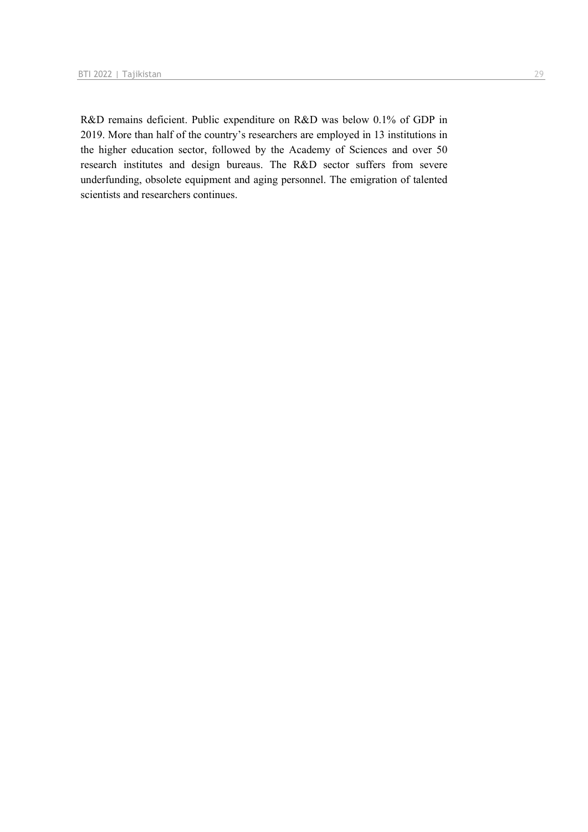R&D remains deficient. Public expenditure on R&D was below 0.1% of GDP in 2019. More than half of the country's researchers are employed in 13 institutions in the higher education sector, followed by the Academy of Sciences and over 50 research institutes and design bureaus. The R&D sector suffers from severe underfunding, obsolete equipment and aging personnel. The emigration of talented scientists and researchers continues.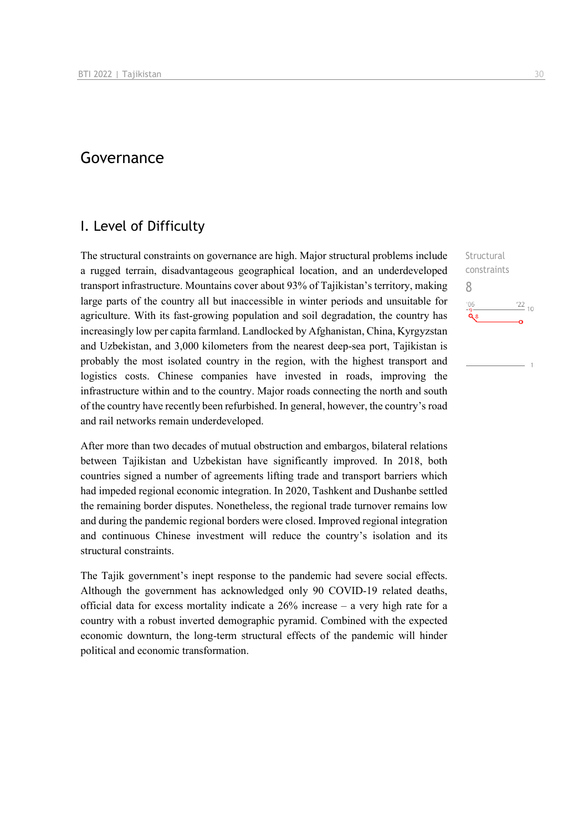## Governance

## I. Level of Difficulty

The structural constraints on governance are high. Major structural problems include a rugged terrain, disadvantageous geographical location, and an underdeveloped transport infrastructure. Mountains cover about 93% of Tajikistan's territory, making large parts of the country all but inaccessible in winter periods and unsuitable for agriculture. With its fast-growing population and soil degradation, the country has increasingly low per capita farmland. Landlocked by Afghanistan, China, Kyrgyzstan and Uzbekistan, and 3,000 kilometers from the nearest deep-sea port, Tajikistan is probably the most isolated country in the region, with the highest transport and logistics costs. Chinese companies have invested in roads, improving the infrastructure within and to the country. Major roads connecting the north and south of the country have recently been refurbished. In general, however, the country's road and rail networks remain underdeveloped.

After more than two decades of mutual obstruction and embargos, bilateral relations between Tajikistan and Uzbekistan have significantly improved. In 2018, both countries signed a number of agreements lifting trade and transport barriers which had impeded regional economic integration. In 2020, Tashkent and Dushanbe settled the remaining border disputes. Nonetheless, the regional trade turnover remains low and during the pandemic regional borders were closed. Improved regional integration and continuous Chinese investment will reduce the country's isolation and its structural constraints.

The Tajik government's inept response to the pandemic had severe social effects. Although the government has acknowledged only 90 COVID-19 related deaths, official data for excess mortality indicate a 26% increase – a very high rate for a country with a robust inverted demographic pyramid. Combined with the expected economic downturn, the long-term structural effects of the pandemic will hinder political and economic transformation.

**Structural** constraints 8 $106$  $\frac{22}{10}$  $\tilde{\mathbf{Q}}$  8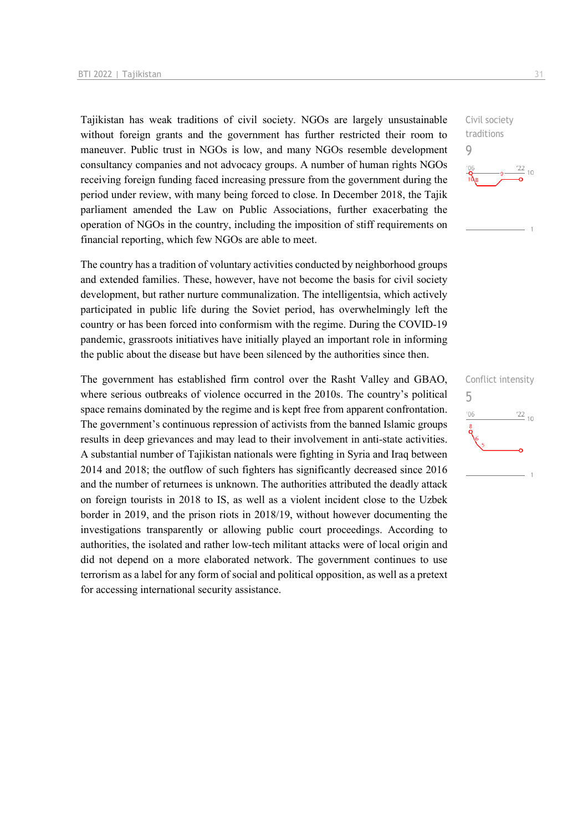Tajikistan has weak traditions of civil society. NGOs are largely unsustainable without foreign grants and the government has further restricted their room to maneuver. Public trust in NGOs is low, and many NGOs resemble development consultancy companies and not advocacy groups. A number of human rights NGOs receiving foreign funding faced increasing pressure from the government during the period under review, with many being forced to close. In December 2018, the Tajik parliament amended the Law on Public Associations, further exacerbating the operation of NGOs in the country, including the imposition of stiff requirements on financial reporting, which few NGOs are able to meet.

The country has a tradition of voluntary activities conducted by neighborhood groups and extended families. These, however, have not become the basis for civil society development, but rather nurture communalization. The intelligentsia, which actively participated in public life during the Soviet period, has overwhelmingly left the country or has been forced into conformism with the regime. During the COVID-19 pandemic, grassroots initiatives have initially played an important role in informing the public about the disease but have been silenced by the authorities since then.

The government has established firm control over the Rasht Valley and GBAO, where serious outbreaks of violence occurred in the 2010s. The country's political space remains dominated by the regime and is kept free from apparent confrontation. The government's continuous repression of activists from the banned Islamic groups results in deep grievances and may lead to their involvement in anti-state activities. A substantial number of Tajikistan nationals were fighting in Syria and Iraq between 2014 and 2018; the outflow of such fighters has significantly decreased since 2016 and the number of returnees is unknown. The authorities attributed the deadly attack on foreign tourists in 2018 to IS, as well as a violent incident close to the Uzbek border in 2019, and the prison riots in 2018/19, without however documenting the investigations transparently or allowing public court proceedings. According to authorities, the isolated and rather low-tech militant attacks were of local origin and did not depend on a more elaborated network. The government continues to use terrorism as a label for any form of social and political opposition, as well as a pretext for accessing international security assistance.



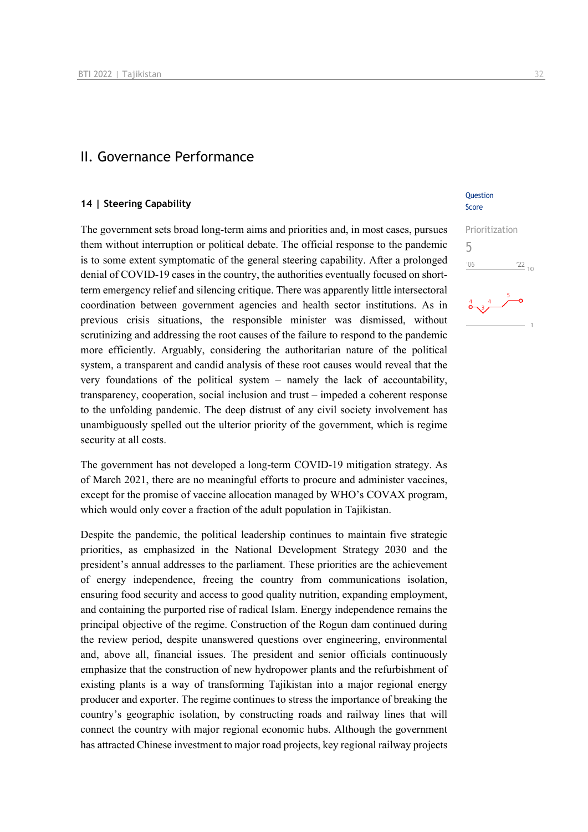## II. Governance Performance

#### **14 | Steering Capability**

The government sets broad long-term aims and priorities and, in most cases, pursues them without interruption or political debate. The official response to the pandemic is to some extent symptomatic of the general steering capability. After a prolonged denial of COVID-19 cases in the country, the authorities eventually focused on shortterm emergency relief and silencing critique. There was apparently little intersectoral coordination between government agencies and health sector institutions. As in previous crisis situations, the responsible minister was dismissed, without scrutinizing and addressing the root causes of the failure to respond to the pandemic more efficiently. Arguably, considering the authoritarian nature of the political system, a transparent and candid analysis of these root causes would reveal that the very foundations of the political system – namely the lack of accountability, transparency, cooperation, social inclusion and trust – impeded a coherent response to the unfolding pandemic. The deep distrust of any civil society involvement has unambiguously spelled out the ulterior priority of the government, which is regime security at all costs.

The government has not developed a long-term COVID-19 mitigation strategy. As of March 2021, there are no meaningful efforts to procure and administer vaccines, except for the promise of vaccine allocation managed by WHO's COVAX program, which would only cover a fraction of the adult population in Tajikistan.

Despite the pandemic, the political leadership continues to maintain five strategic priorities, as emphasized in the National Development Strategy 2030 and the president's annual addresses to the parliament. These priorities are the achievement of energy independence, freeing the country from communications isolation, ensuring food security and access to good quality nutrition, expanding employment, and containing the purported rise of radical Islam. Energy independence remains the principal objective of the regime. Construction of the Rogun dam continued during the review period, despite unanswered questions over engineering, environmental and, above all, financial issues. The president and senior officials continuously emphasize that the construction of new hydropower plants and the refurbishment of existing plants is a way of transforming Tajikistan into a major regional energy producer and exporter. The regime continues to stress the importance of breaking the country's geographic isolation, by constructing roads and railway lines that will connect the country with major regional economic hubs. Although the government has attracted Chinese investment to major road projects, key regional railway projects

#### **Ouestion** Score

## Prioritization 5 $\frac{22}{10}$  $-06$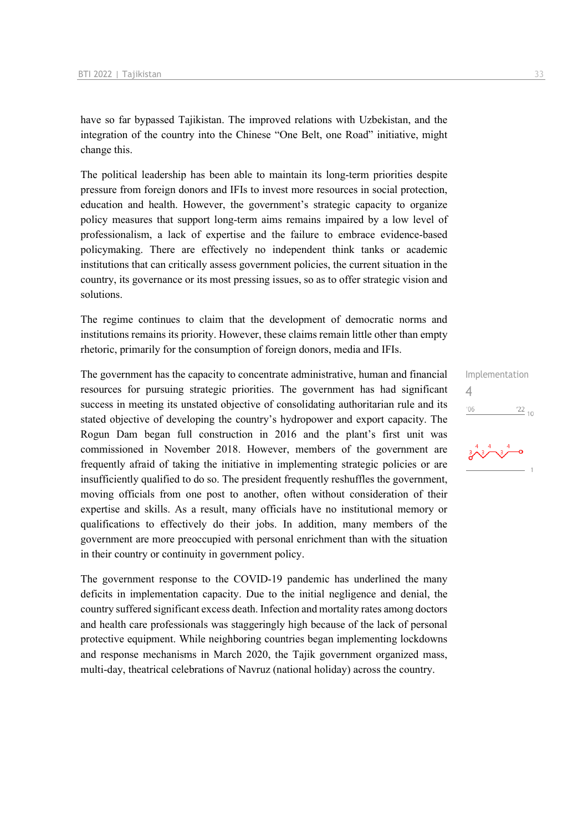have so far bypassed Tajikistan. The improved relations with Uzbekistan, and the integration of the country into the Chinese "One Belt, one Road" initiative, might change this.

The political leadership has been able to maintain its long-term priorities despite pressure from foreign donors and IFIs to invest more resources in social protection, education and health. However, the government's strategic capacity to organize policy measures that support long-term aims remains impaired by a low level of professionalism, a lack of expertise and the failure to embrace evidence-based policymaking. There are effectively no independent think tanks or academic institutions that can critically assess government policies, the current situation in the country, its governance or its most pressing issues, so as to offer strategic vision and solutions.

The regime continues to claim that the development of democratic norms and institutions remains its priority. However, these claims remain little other than empty rhetoric, primarily for the consumption of foreign donors, media and IFIs.

The government has the capacity to concentrate administrative, human and financial resources for pursuing strategic priorities. The government has had significant success in meeting its unstated objective of consolidating authoritarian rule and its stated objective of developing the country's hydropower and export capacity. The Rogun Dam began full construction in 2016 and the plant's first unit was commissioned in November 2018. However, members of the government are frequently afraid of taking the initiative in implementing strategic policies or are insufficiently qualified to do so. The president frequently reshuffles the government, moving officials from one post to another, often without consideration of their expertise and skills. As a result, many officials have no institutional memory or qualifications to effectively do their jobs. In addition, many members of the government are more preoccupied with personal enrichment than with the situation in their country or continuity in government policy.

The government response to the COVID-19 pandemic has underlined the many deficits in implementation capacity. Due to the initial negligence and denial, the country suffered significant excess death. Infection and mortality rates among doctors and health care professionals was staggeringly high because of the lack of personal protective equipment. While neighboring countries began implementing lockdowns and response mechanisms in March 2020, the Tajik government organized mass, multi-day, theatrical celebrations of Navruz (national holiday) across the country.

Implementation 4 $'06$  $\frac{22}{10}$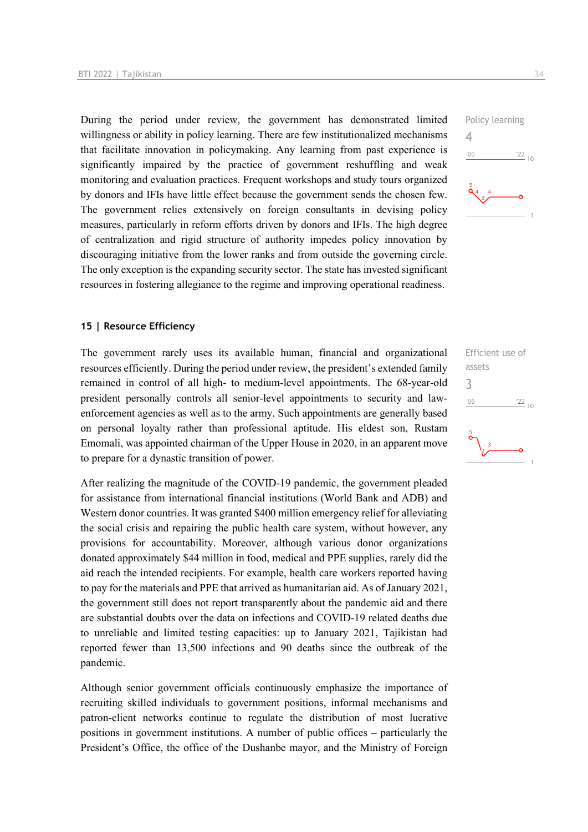During the period under review, the government has demonstrated limited willingness or ability in policy learning. There are few institutionalized mechanisms that facilitate innovation in policymaking. Any learning from past experience is significantly impaired by the practice of government reshuffling and weak monitoring and evaluation practices. Frequent workshops and study tours organized by donors and IFIs have little effect because the government sends the chosen few. The government relies extensively on foreign consultants in devising policy measures, particularly in reform efforts driven by donors and IFIs. The high degree of centralization and rigid structure of authority impedes policy innovation by discouraging initiative from the lower ranks and from outside the governing circle. The only exception is the expanding security sector. The state has invested significant resources in fostering allegiance to the regime and improving operational readiness.

#### **15 | Resource Efficiency**

The government rarely uses its available human, financial and organizational resources efficiently. During the period under review, the president's extended family remained in control of all high- to medium-level appointments. The 68-year-old president personally controls all senior-level appointments to security and lawenforcement agencies as well as to the army. Such appointments are generally based on personal loyalty rather than professional aptitude. His eldest son, Rustam Emomali, was appointed chairman of the Upper House in 2020, in an apparent move to prepare for a dynastic transition of power.

After realizing the magnitude of the COVID-19 pandemic, the government pleaded for assistance from international financial institutions (World Bank and ADB) and Western donor countries. It was granted \$400 million emergency relief for alleviating the social crisis and repairing the public health care system, without however, any provisions for accountability. Moreover, although various donor organizations donated approximately \$44 million in food, medical and PPE supplies, rarely did the aid reach the intended recipients. For example, health care workers reported having to pay for the materials and PPE that arrived as humanitarian aid. As of January 2021, the government still does not report transparently about the pandemic aid and there are substantial doubts over the data on infections and COVID-19 related deaths due to unreliable and limited testing capacities: up to January 2021, Tajikistan had reported fewer than 13,500 infections and 90 deaths since the outbreak of the pandemic.

Although senior government officials continuously emphasize the importance of recruiting skilled individuals to government positions, informal mechanisms and patron-client networks continue to regulate the distribution of most lucrative positions in government institutions. A number of public offices – particularly the President's Office, the office of the Dushanbe mayor, and the Ministry of Foreign



Efficient use of assets 3 $106$  $\frac{22}{10}$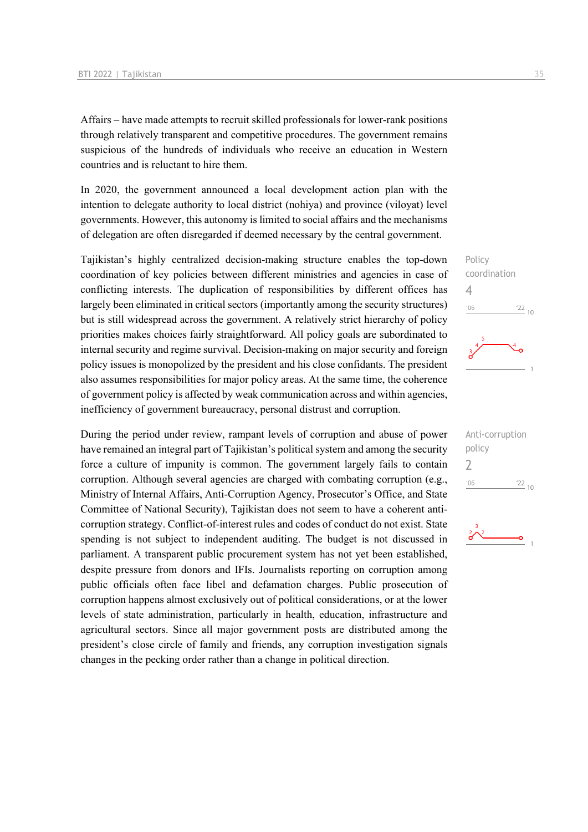Affairs – have made attempts to recruit skilled professionals for lower-rank positions through relatively transparent and competitive procedures. The government remains suspicious of the hundreds of individuals who receive an education in Western countries and is reluctant to hire them.

In 2020, the government announced a local development action plan with the intention to delegate authority to local district (nohiya) and province (viloyat) level governments. However, this autonomy is limited to social affairs and the mechanisms of delegation are often disregarded if deemed necessary by the central government.

Tajikistan's highly centralized decision-making structure enables the top-down coordination of key policies between different ministries and agencies in case of conflicting interests. The duplication of responsibilities by different offices has largely been eliminated in critical sectors (importantly among the security structures) but is still widespread across the government. A relatively strict hierarchy of policy priorities makes choices fairly straightforward. All policy goals are subordinated to internal security and regime survival. Decision-making on major security and foreign policy issues is monopolized by the president and his close confidants. The president also assumes responsibilities for major policy areas. At the same time, the coherence of government policy is affected by weak communication across and within agencies, inefficiency of government bureaucracy, personal distrust and corruption.

During the period under review, rampant levels of corruption and abuse of power have remained an integral part of Tajikistan's political system and among the security force a culture of impunity is common. The government largely fails to contain corruption. Although several agencies are charged with combating corruption (e.g., Ministry of Internal Affairs, Anti-Corruption Agency, Prosecutor's Office, and State Committee of National Security), Tajikistan does not seem to have a coherent anticorruption strategy. Conflict-of-interest rules and codes of conduct do not exist. State spending is not subject to independent auditing. The budget is not discussed in parliament. A transparent public procurement system has not yet been established, despite pressure from donors and IFIs. Journalists reporting on corruption among public officials often face libel and defamation charges. Public prosecution of corruption happens almost exclusively out of political considerations, or at the lower levels of state administration, particularly in health, education, infrastructure and agricultural sectors. Since all major government posts are distributed among the president's close circle of family and friends, any corruption investigation signals changes in the pecking order rather than a change in political direction.



| Anti-corruption |               |
|-----------------|---------------|
| policy          |               |
| $\prime$        |               |
| '06             | $^{22}_{-10}$ |
|                 |               |

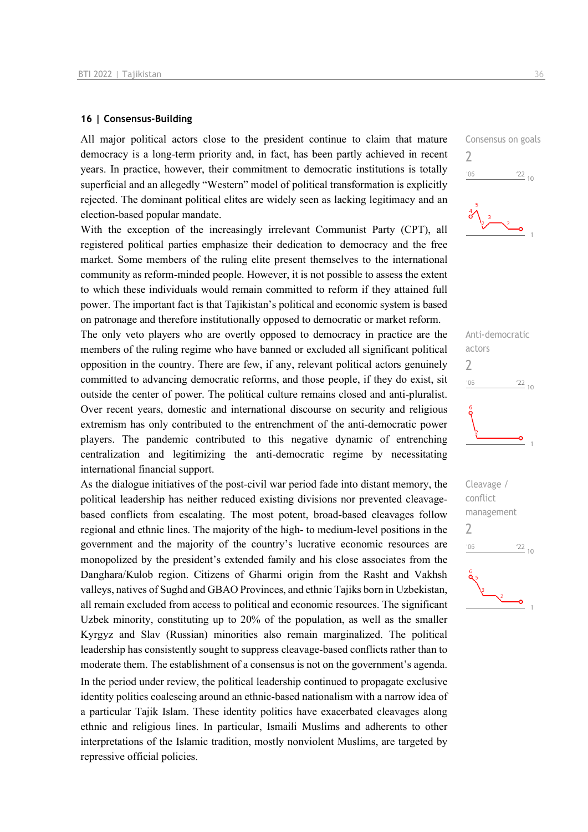#### **16 | Consensus-Building**

All major political actors close to the president continue to claim that mature democracy is a long-term priority and, in fact, has been partly achieved in recent years. In practice, however, their commitment to democratic institutions is totally superficial and an allegedly "Western" model of political transformation is explicitly rejected. The dominant political elites are widely seen as lacking legitimacy and an election-based popular mandate.

With the exception of the increasingly irrelevant Communist Party (CPT), all registered political parties emphasize their dedication to democracy and the free market. Some members of the ruling elite present themselves to the international community as reform-minded people. However, it is not possible to assess the extent to which these individuals would remain committed to reform if they attained full power. The important fact is that Tajikistan's political and economic system is based on patronage and therefore institutionally opposed to democratic or market reform.

The only veto players who are overtly opposed to democracy in practice are the members of the ruling regime who have banned or excluded all significant political opposition in the country. There are few, if any, relevant political actors genuinely committed to advancing democratic reforms, and those people, if they do exist, sit outside the center of power. The political culture remains closed and anti-pluralist. Over recent years, domestic and international discourse on security and religious extremism has only contributed to the entrenchment of the anti-democratic power players. The pandemic contributed to this negative dynamic of entrenching centralization and legitimizing the anti-democratic regime by necessitating international financial support.

As the dialogue initiatives of the post-civil war period fade into distant memory, the political leadership has neither reduced existing divisions nor prevented cleavagebased conflicts from escalating. The most potent, broad-based cleavages follow regional and ethnic lines. The majority of the high- to medium-level positions in the government and the majority of the country's lucrative economic resources are monopolized by the president's extended family and his close associates from the Danghara/Kulob region. Citizens of Gharmi origin from the Rasht and Vakhsh valleys, natives of Sughd and GBAO Provinces, and ethnic Tajiks born in Uzbekistan, all remain excluded from access to political and economic resources. The significant Uzbek minority, constituting up to 20% of the population, as well as the smaller Kyrgyz and Slav (Russian) minorities also remain marginalized. The political leadership has consistently sought to suppress cleavage-based conflicts rather than to moderate them. The establishment of a consensus is not on the government's agenda. In the period under review, the political leadership continued to propagate exclusive identity politics coalescing around an ethnic-based nationalism with a narrow idea of a particular Tajik Islam. These identity politics have exacerbated cleavages along ethnic and religious lines. In particular, Ismaili Muslims and adherents to other interpretations of the Islamic tradition, mostly nonviolent Muslims, are targeted by repressive official policies.

Consensus on goals 2  $-06$  $\frac{22}{10}$ 



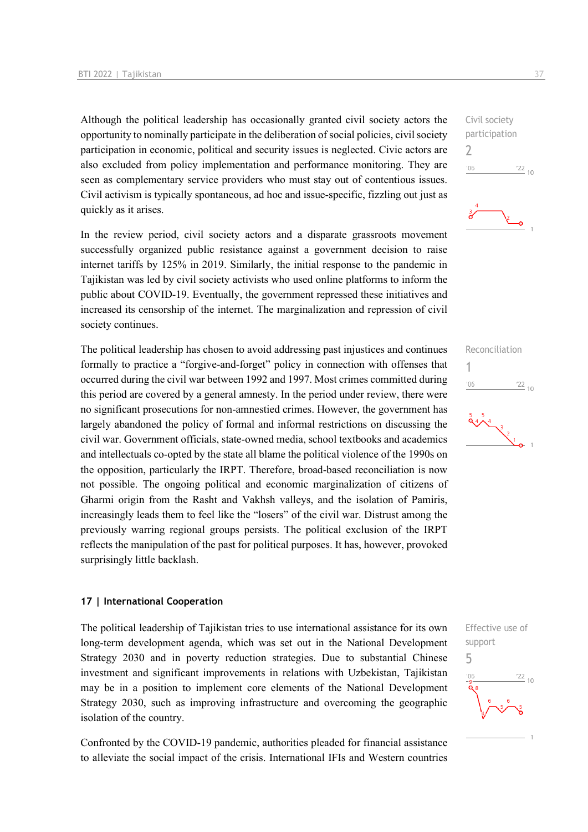Although the political leadership has occasionally granted civil society actors the opportunity to nominally participate in the deliberation of social policies, civil society participation in economic, political and security issues is neglected. Civic actors are also excluded from policy implementation and performance monitoring. They are seen as complementary service providers who must stay out of contentious issues. Civil activism is typically spontaneous, ad hoc and issue-specific, fizzling out just as quickly as it arises.

In the review period, civil society actors and a disparate grassroots movement successfully organized public resistance against a government decision to raise internet tariffs by 125% in 2019. Similarly, the initial response to the pandemic in Tajikistan was led by civil society activists who used online platforms to inform the public about COVID-19. Eventually, the government repressed these initiatives and increased its censorship of the internet. The marginalization and repression of civil society continues.

The political leadership has chosen to avoid addressing past injustices and continues formally to practice a "forgive-and-forget" policy in connection with offenses that occurred during the civil war between 1992 and 1997. Most crimes committed during this period are covered by a general amnesty. In the period under review, there were no significant prosecutions for non-amnestied crimes. However, the government has largely abandoned the policy of formal and informal restrictions on discussing the civil war. Government officials, state-owned media, school textbooks and academics and intellectuals co-opted by the state all blame the political violence of the 1990s on the opposition, particularly the IRPT. Therefore, broad-based reconciliation is now not possible. The ongoing political and economic marginalization of citizens of Gharmi origin from the Rasht and Vakhsh valleys, and the isolation of Pamiris, increasingly leads them to feel like the "losers" of the civil war. Distrust among the previously warring regional groups persists. The political exclusion of the IRPT reflects the manipulation of the past for political purposes. It has, however, provoked surprisingly little backlash.

#### **17 | International Cooperation**

The political leadership of Tajikistan tries to use international assistance for its own long-term development agenda, which was set out in the National Development Strategy 2030 and in poverty reduction strategies. Due to substantial Chinese investment and significant improvements in relations with Uzbekistan, Tajikistan may be in a position to implement core elements of the National Development Strategy 2030, such as improving infrastructure and overcoming the geographic isolation of the country.

Confronted by the COVID-19 pandemic, authorities pleaded for financial assistance to alleviate the social impact of the crisis. International IFIs and Western countries





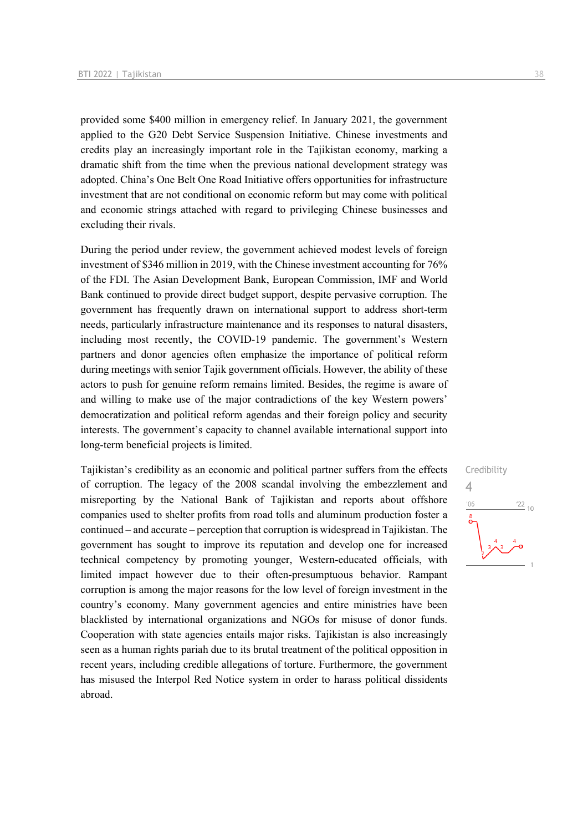provided some \$400 million in emergency relief. In January 2021, the government applied to the G20 Debt Service Suspension Initiative. Chinese investments and credits play an increasingly important role in the Tajikistan economy, marking a dramatic shift from the time when the previous national development strategy was adopted. China's One Belt One Road Initiative offers opportunities for infrastructure investment that are not conditional on economic reform but may come with political and economic strings attached with regard to privileging Chinese businesses and excluding their rivals.

During the period under review, the government achieved modest levels of foreign investment of \$346 million in 2019, with the Chinese investment accounting for 76% of the FDI. The Asian Development Bank, European Commission, IMF and World Bank continued to provide direct budget support, despite pervasive corruption. The government has frequently drawn on international support to address short-term needs, particularly infrastructure maintenance and its responses to natural disasters, including most recently, the COVID-19 pandemic. The government's Western partners and donor agencies often emphasize the importance of political reform during meetings with senior Tajik government officials. However, the ability of these actors to push for genuine reform remains limited. Besides, the regime is aware of and willing to make use of the major contradictions of the key Western powers' democratization and political reform agendas and their foreign policy and security interests. The government's capacity to channel available international support into long-term beneficial projects is limited.

Tajikistan's credibility as an economic and political partner suffers from the effects of corruption. The legacy of the 2008 scandal involving the embezzlement and misreporting by the National Bank of Tajikistan and reports about offshore companies used to shelter profits from road tolls and aluminum production foster a continued – and accurate – perception that corruption is widespread in Tajikistan. The government has sought to improve its reputation and develop one for increased technical competency by promoting younger, Western-educated officials, with limited impact however due to their often-presumptuous behavior. Rampant corruption is among the major reasons for the low level of foreign investment in the country's economy. Many government agencies and entire ministries have been blacklisted by international organizations and NGOs for misuse of donor funds. Cooperation with state agencies entails major risks. Tajikistan is also increasingly seen as a human rights pariah due to its brutal treatment of the political opposition in recent years, including credible allegations of torture. Furthermore, the government has misused the Interpol Red Notice system in order to harass political dissidents abroad.

## Credibility 4 $106$  $\frac{22}{10}$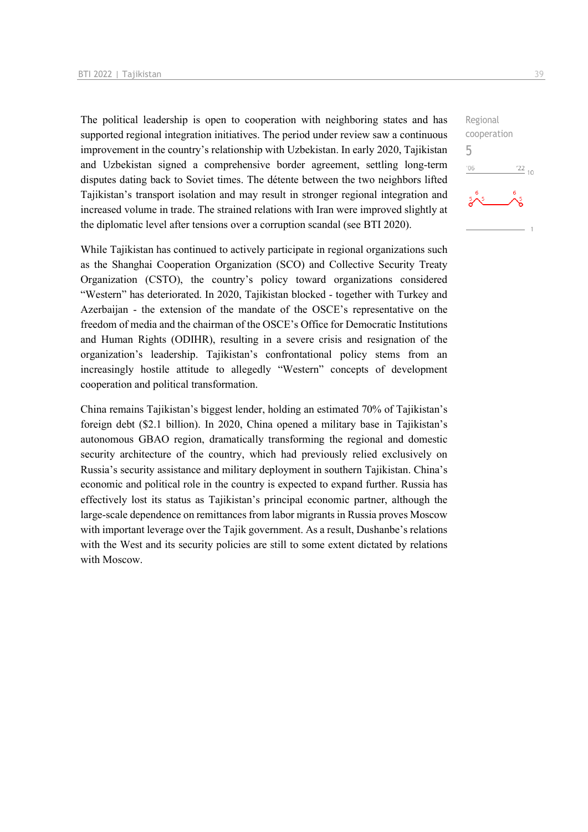The political leadership is open to cooperation with neighboring states and has supported regional integration initiatives. The period under review saw a continuous improvement in the country's relationship with Uzbekistan. In early 2020, Tajikistan and Uzbekistan signed a comprehensive border agreement, settling long-term disputes dating back to Soviet times. The détente between the two neighbors lifted Tajikistan's transport isolation and may result in stronger regional integration and increased volume in trade. The strained relations with Iran were improved slightly at the diplomatic level after tensions over a corruption scandal (see BTI 2020).

While Tajikistan has continued to actively participate in regional organizations such as the Shanghai Cooperation Organization (SCO) and Collective Security Treaty Organization (CSTO), the country's policy toward organizations considered "Western" has deteriorated. In 2020, Tajikistan blocked - together with Turkey and Azerbaijan - the extension of the mandate of the OSCE's representative on the freedom of media and the chairman of the OSCE's Office for Democratic Institutions and Human Rights (ODIHR), resulting in a severe crisis and resignation of the organization's leadership. Tajikistan's confrontational policy stems from an increasingly hostile attitude to allegedly "Western" concepts of development cooperation and political transformation.

China remains Tajikistan's biggest lender, holding an estimated 70% of Tajikistan's foreign debt (\$2.1 billion). In 2020, China opened a military base in Tajikistan's autonomous GBAO region, dramatically transforming the regional and domestic security architecture of the country, which had previously relied exclusively on Russia's security assistance and military deployment in southern Tajikistan. China's economic and political role in the country is expected to expand further. Russia has effectively lost its status as Tajikistan's principal economic partner, although the large-scale dependence on remittances from labor migrants in Russia proves Moscow with important leverage over the Tajik government. As a result, Dushanbe's relations with the West and its security policies are still to some extent dictated by relations with Moscow.

Regional cooperation 5 $-06$  $\frac{22}{10}$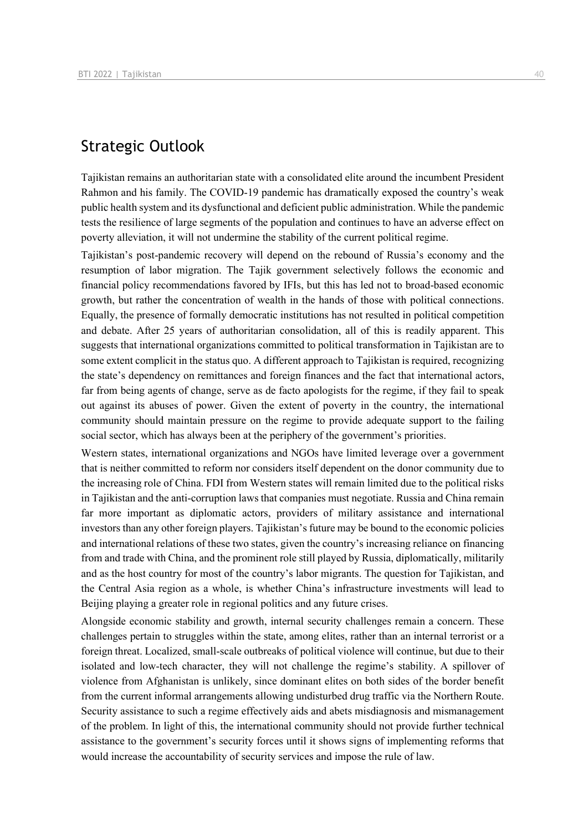## Strategic Outlook

Tajikistan remains an authoritarian state with a consolidated elite around the incumbent President Rahmon and his family. The COVID-19 pandemic has dramatically exposed the country's weak public health system and its dysfunctional and deficient public administration. While the pandemic tests the resilience of large segments of the population and continues to have an adverse effect on poverty alleviation, it will not undermine the stability of the current political regime.

Tajikistan's post-pandemic recovery will depend on the rebound of Russia's economy and the resumption of labor migration. The Tajik government selectively follows the economic and financial policy recommendations favored by IFIs, but this has led not to broad-based economic growth, but rather the concentration of wealth in the hands of those with political connections. Equally, the presence of formally democratic institutions has not resulted in political competition and debate. After 25 years of authoritarian consolidation, all of this is readily apparent. This suggests that international organizations committed to political transformation in Tajikistan are to some extent complicit in the status quo. A different approach to Tajikistan is required, recognizing the state's dependency on remittances and foreign finances and the fact that international actors, far from being agents of change, serve as de facto apologists for the regime, if they fail to speak out against its abuses of power. Given the extent of poverty in the country, the international community should maintain pressure on the regime to provide adequate support to the failing social sector, which has always been at the periphery of the government's priorities.

Western states, international organizations and NGOs have limited leverage over a government that is neither committed to reform nor considers itself dependent on the donor community due to the increasing role of China. FDI from Western states will remain limited due to the political risks in Tajikistan and the anti-corruption laws that companies must negotiate. Russia and China remain far more important as diplomatic actors, providers of military assistance and international investors than any other foreign players. Tajikistan's future may be bound to the economic policies and international relations of these two states, given the country's increasing reliance on financing from and trade with China, and the prominent role still played by Russia, diplomatically, militarily and as the host country for most of the country's labor migrants. The question for Tajikistan, and the Central Asia region as a whole, is whether China's infrastructure investments will lead to Beijing playing a greater role in regional politics and any future crises.

Alongside economic stability and growth, internal security challenges remain a concern. These challenges pertain to struggles within the state, among elites, rather than an internal terrorist or a foreign threat. Localized, small-scale outbreaks of political violence will continue, but due to their isolated and low-tech character, they will not challenge the regime's stability. A spillover of violence from Afghanistan is unlikely, since dominant elites on both sides of the border benefit from the current informal arrangements allowing undisturbed drug traffic via the Northern Route. Security assistance to such a regime effectively aids and abets misdiagnosis and mismanagement of the problem. In light of this, the international community should not provide further technical assistance to the government's security forces until it shows signs of implementing reforms that would increase the accountability of security services and impose the rule of law.